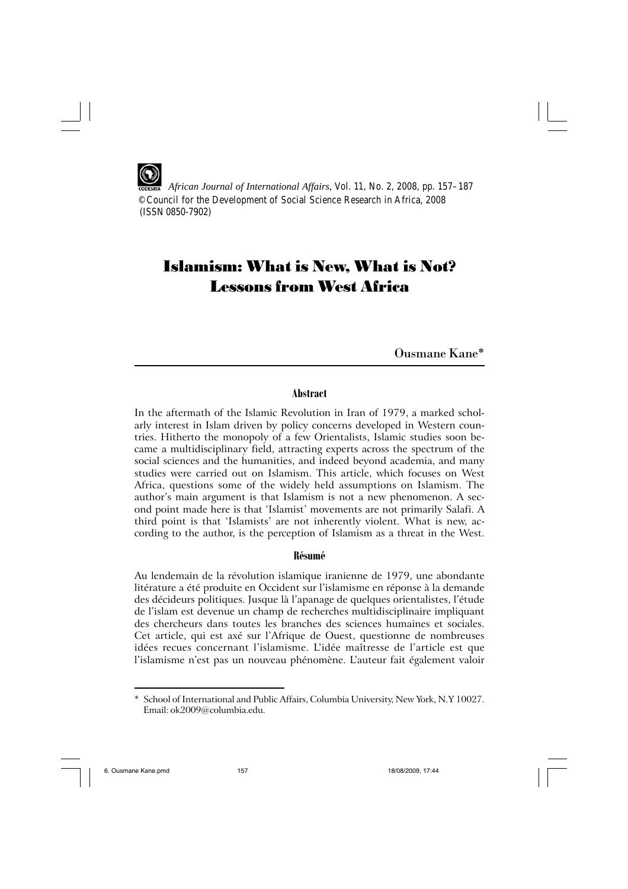*African Journal of International Affairs,* Vol. 11, No. 2, 2008, pp. 157–187 © Council for the Development of Social Science Research in Africa, 2008 (ISSN 0850-7902)

# Islamism: What is New, What is Not? Lessons from West Africa

Ousmane Kane\*

#### **Abstract**

In the aftermath of the Islamic Revolution in Iran of 1979, a marked scholarly interest in Islam driven by policy concerns developed in Western countries. Hitherto the monopoly of a few Orientalists, Islamic studies soon became a multidisciplinary field, attracting experts across the spectrum of the social sciences and the humanities, and indeed beyond academia, and many studies were carried out on Islamism. This article, which focuses on West Africa, questions some of the widely held assumptions on Islamism. The author's main argument is that Islamism is not a new phenomenon. A second point made here is that 'Islamist' movements are not primarily Salafi. A third point is that 'Islamists' are not inherently violent. What is new, according to the author, is the perception of Islamism as a threat in the West.

#### **Résumé**

Au lendemain de la révolution islamique iranienne de 1979, une abondante litérature a été produite en Occident sur l'islamisme en réponse à la demande des décideurs politiques. Jusque là l'apanage de quelques orientalistes, l'étude de l'islam est devenue un champ de recherches multidisciplinaire impliquant des chercheurs dans toutes les branches des sciences humaines et sociales. Cet article, qui est axé sur l'Afrique de Ouest, questionne de nombreuses idées recues concernant l'islamisme. L'idée maîtresse de l'article est que l'islamisme n'est pas un nouveau phénomène. L'auteur fait également valoir

School of International and Public Affairs, Columbia University, New York, N.Y 10027. Email: ok2009@columbia.edu.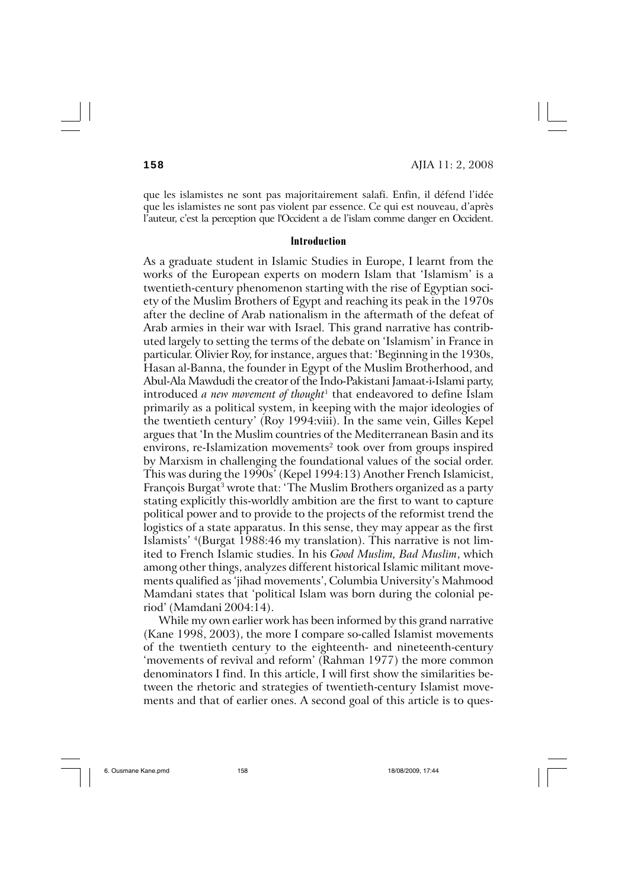que les islamistes ne sont pas majoritairement salafi. Enfin, il défend l'idée que les islamistes ne sont pas violent par essence. Ce qui est nouveau, d'après l'auteur, c'est la perception que l'Occident a de l'islam comme danger en Occident.

#### **Introduction**

As a graduate student in Islamic Studies in Europe, I learnt from the works of the European experts on modern Islam that 'Islamism' is a twentieth-century phenomenon starting with the rise of Egyptian society of the Muslim Brothers of Egypt and reaching its peak in the 1970s after the decline of Arab nationalism in the aftermath of the defeat of Arab armies in their war with Israel. This grand narrative has contributed largely to setting the terms of the debate on 'Islamism' in France in particular. Olivier Roy, for instance, argues that: 'Beginning in the 1930s, Hasan al-Banna, the founder in Egypt of the Muslim Brotherhood, and Abul-Ala Mawdudi the creator of the Indo-Pakistani Jamaat-i-Islami party, introduced *a new movement of thought*1 that endeavored to define Islam primarily as a political system, in keeping with the major ideologies of the twentieth century' (Roy 1994:viii). In the same vein, Gilles Kepel argues that 'In the Muslim countries of the Mediterranean Basin and its environs, re-Islamization movements<sup>2</sup> took over from groups inspired by Marxism in challenging the foundational values of the social order. This was during the 1990s' (Kepel 1994:13) Another French Islamicist, François Burgat<sup>3</sup> wrote that: 'The Muslim Brothers organized as a party stating explicitly this-worldly ambition are the first to want to capture political power and to provide to the projects of the reformist trend the logistics of a state apparatus. In this sense, they may appear as the first Islamists' 4(Burgat 1988:46 my translation). This narrative is not limited to French Islamic studies. In his *Good Muslim, Bad Muslim*, which among other things, analyzes different historical Islamic militant movements qualified as 'jihad movements', Columbia University's Mahmood Mamdani states that 'political Islam was born during the colonial period' (Mamdani 2004:14).

While my own earlier work has been informed by this grand narrative (Kane 1998, 2003), the more I compare so-called Islamist movements of the twentieth century to the eighteenth- and nineteenth-century 'movements of revival and reform' (Rahman 1977) the more common denominators I find. In this article, I will first show the similarities between the rhetoric and strategies of twentieth-century Islamist movements and that of earlier ones. A second goal of this article is to ques-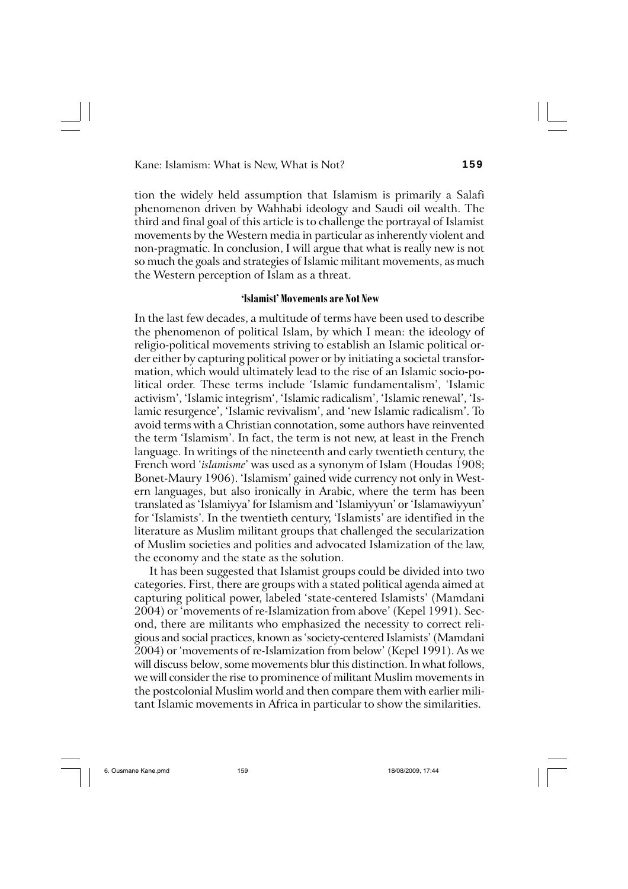tion the widely held assumption that Islamism is primarily a Salafi phenomenon driven by Wahhabi ideology and Saudi oil wealth. The third and final goal of this article is to challenge the portrayal of Islamist movements by the Western media in particular as inherently violent and non-pragmatic. In conclusion, I will argue that what is really new is not so much the goals and strategies of Islamic militant movements, as much the Western perception of Islam as a threat.

### **'Islamist' Movements are Not New**

In the last few decades, a multitude of terms have been used to describe the phenomenon of political Islam, by which I mean: the ideology of religio-political movements striving to establish an Islamic political order either by capturing political power or by initiating a societal transformation, which would ultimately lead to the rise of an Islamic socio-political order. These terms include 'Islamic fundamentalism', 'Islamic activism', 'Islamic integrism', 'Islamic radicalism', 'Islamic renewal', 'Islamic resurgence', 'Islamic revivalism', and 'new Islamic radicalism'. To avoid terms with a Christian connotation, some authors have reinvented the term 'Islamism'. In fact, the term is not new, at least in the French language. In writings of the nineteenth and early twentieth century, the French word '*islamisme*' was used as a synonym of Islam (Houdas 1908; Bonet-Maury 1906). 'Islamism' gained wide currency not only in Western languages, but also ironically in Arabic, where the term has been translated as 'Islamiyya' for Islamism and 'Islamiyyun' or 'Islamawiyyun' for 'Islamists'. In the twentieth century, 'Islamists' are identified in the literature as Muslim militant groups that challenged the secularization of Muslim societies and polities and advocated Islamization of the law, the economy and the state as the solution.

It has been suggested that Islamist groups could be divided into two categories. First, there are groups with a stated political agenda aimed at capturing political power, labeled 'state-centered Islamists' (Mamdani 2004) or 'movements of re-Islamization from above' (Kepel 1991). Second, there are militants who emphasized the necessity to correct religious and social practices, known as 'society-centered Islamists' (Mamdani 2004) or 'movements of re-Islamization from below' (Kepel 1991). As we will discuss below, some movements blur this distinction. In what follows, we will consider the rise to prominence of militant Muslim movements in the postcolonial Muslim world and then compare them with earlier militant Islamic movements in Africa in particular to show the similarities.

6. Ousmane Kane.pmd 159 18/08/2009, 17:44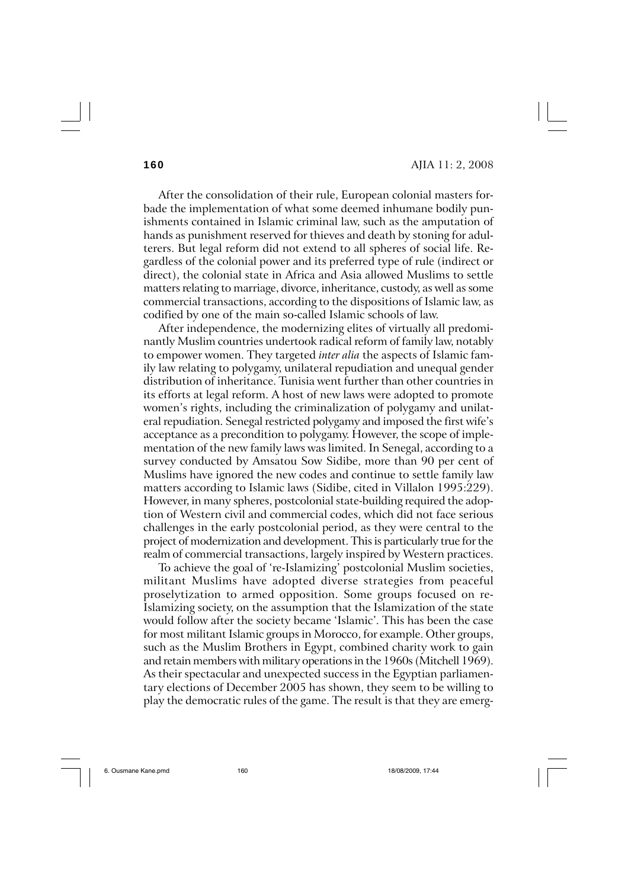After the consolidation of their rule, European colonial masters forbade the implementation of what some deemed inhumane bodily punishments contained in Islamic criminal law, such as the amputation of hands as punishment reserved for thieves and death by stoning for adulterers. But legal reform did not extend to all spheres of social life. Regardless of the colonial power and its preferred type of rule (indirect or direct), the colonial state in Africa and Asia allowed Muslims to settle matters relating to marriage, divorce, inheritance, custody, as well as some commercial transactions, according to the dispositions of Islamic law, as codified by one of the main so-called Islamic schools of law.

After independence, the modernizing elites of virtually all predominantly Muslim countries undertook radical reform of family law, notably to empower women. They targeted *inter alia* the aspects of Islamic family law relating to polygamy, unilateral repudiation and unequal gender distribution of inheritance. Tunisia went further than other countries in its efforts at legal reform. A host of new laws were adopted to promote women's rights, including the criminalization of polygamy and unilateral repudiation. Senegal restricted polygamy and imposed the first wife's acceptance as a precondition to polygamy. However, the scope of implementation of the new family laws was limited. In Senegal, according to a survey conducted by Amsatou Sow Sidibe, more than 90 per cent of Muslims have ignored the new codes and continue to settle family law matters according to Islamic laws (Sidibe, cited in Villalon 1995:229). However, in many spheres, postcolonial state-building required the adoption of Western civil and commercial codes, which did not face serious challenges in the early postcolonial period, as they were central to the project of modernization and development. This is particularly true for the realm of commercial transactions, largely inspired by Western practices.

To achieve the goal of 're-Islamizing' postcolonial Muslim societies, militant Muslims have adopted diverse strategies from peaceful proselytization to armed opposition. Some groups focused on re-Islamizing society, on the assumption that the Islamization of the state would follow after the society became 'Islamic'. This has been the case for most militant Islamic groups in Morocco, for example. Other groups, such as the Muslim Brothers in Egypt, combined charity work to gain and retain members with military operations in the 1960s (Mitchell 1969). As their spectacular and unexpected success in the Egyptian parliamentary elections of December 2005 has shown, they seem to be willing to play the democratic rules of the game. The result is that they are emerg-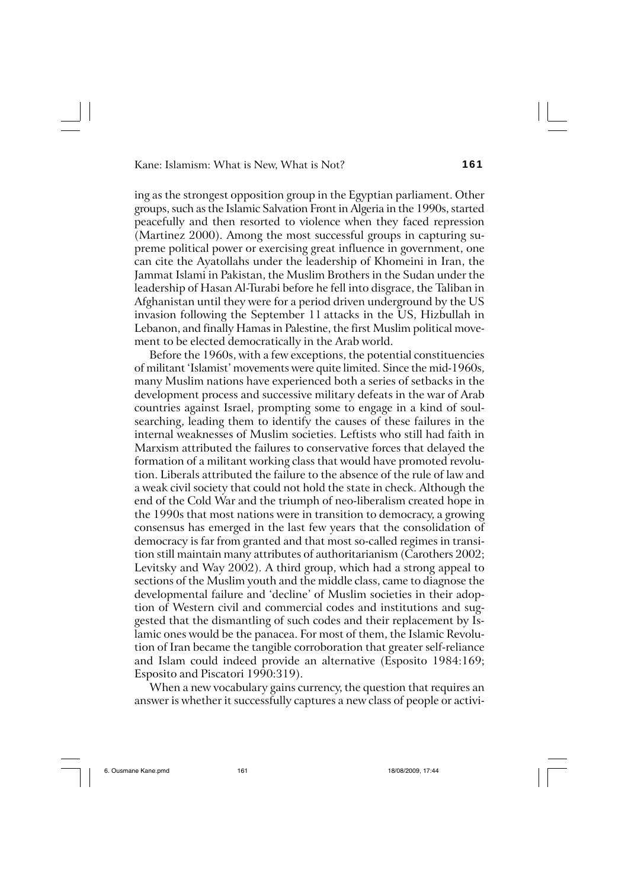ing as the strongest opposition group in the Egyptian parliament. Other groups, such as the Islamic Salvation Front in Algeria in the 1990s, started peacefully and then resorted to violence when they faced repression (Martinez 2000). Among the most successful groups in capturing supreme political power or exercising great influence in government, one can cite the Ayatollahs under the leadership of Khomeini in Iran, the Jammat Islami in Pakistan, the Muslim Brothers in the Sudan under the leadership of Hasan Al-Turabi before he fell into disgrace, the Taliban in Afghanistan until they were for a period driven underground by the US invasion following the September 11 attacks in the US, Hizbullah in Lebanon, and finally Hamas in Palestine, the first Muslim political movement to be elected democratically in the Arab world.

Before the 1960s, with a few exceptions, the potential constituencies of militant 'Islamist' movements were quite limited. Since the mid-1960s, many Muslim nations have experienced both a series of setbacks in the development process and successive military defeats in the war of Arab countries against Israel, prompting some to engage in a kind of soulsearching, leading them to identify the causes of these failures in the internal weaknesses of Muslim societies. Leftists who still had faith in Marxism attributed the failures to conservative forces that delayed the formation of a militant working class that would have promoted revolution. Liberals attributed the failure to the absence of the rule of law and a weak civil society that could not hold the state in check. Although the end of the Cold War and the triumph of neo-liberalism created hope in the 1990s that most nations were in transition to democracy, a growing consensus has emerged in the last few years that the consolidation of democracy is far from granted and that most so-called regimes in transition still maintain many attributes of authoritarianism (Carothers 2002; Levitsky and Way 2002). A third group, which had a strong appeal to sections of the Muslim youth and the middle class, came to diagnose the developmental failure and 'decline' of Muslim societies in their adoption of Western civil and commercial codes and institutions and suggested that the dismantling of such codes and their replacement by Islamic ones would be the panacea. For most of them, the Islamic Revolution of Iran became the tangible corroboration that greater self-reliance and Islam could indeed provide an alternative (Esposito 1984:169; Esposito and Piscatori 1990:319).

When a new vocabulary gains currency, the question that requires an answer is whether it successfully captures a new class of people or activi-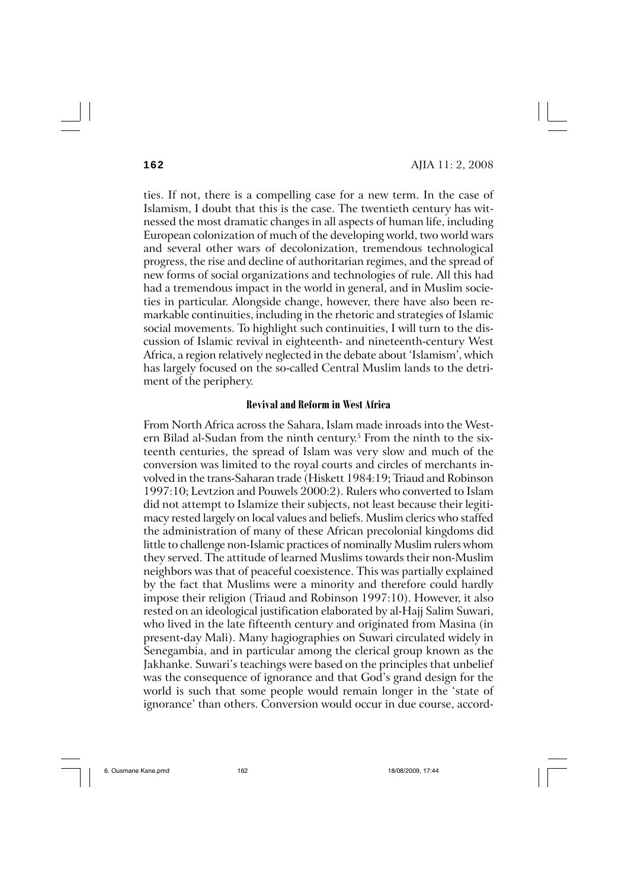ties. If not, there is a compelling case for a new term. In the case of Islamism, I doubt that this is the case. The twentieth century has witnessed the most dramatic changes in all aspects of human life, including European colonization of much of the developing world, two world wars and several other wars of decolonization, tremendous technological progress, the rise and decline of authoritarian regimes, and the spread of new forms of social organizations and technologies of rule. All this had had a tremendous impact in the world in general, and in Muslim societies in particular. Alongside change, however, there have also been remarkable continuities, including in the rhetoric and strategies of Islamic social movements. To highlight such continuities, I will turn to the discussion of Islamic revival in eighteenth- and nineteenth-century West Africa, a region relatively neglected in the debate about 'Islamism', which has largely focused on the so-called Central Muslim lands to the detriment of the periphery.

### **Revival and Reform in West Africa**

From North Africa across the Sahara, Islam made inroads into the Western Bilad al-Sudan from the ninth century.<sup>5</sup> From the ninth to the sixteenth centuries, the spread of Islam was very slow and much of the conversion was limited to the royal courts and circles of merchants involved in the trans-Saharan trade (Hiskett 1984:19; Triaud and Robinson 1997:10; Levtzion and Pouwels 2000:2). Rulers who converted to Islam did not attempt to Islamize their subjects, not least because their legitimacy rested largely on local values and beliefs. Muslim clerics who staffed the administration of many of these African precolonial kingdoms did little to challenge non-Islamic practices of nominally Muslim rulers whom they served. The attitude of learned Muslims towards their non-Muslim neighbors was that of peaceful coexistence. This was partially explained by the fact that Muslims were a minority and therefore could hardly impose their religion (Triaud and Robinson 1997:10). However, it also rested on an ideological justification elaborated by al-Hajj Salim Suwari, who lived in the late fifteenth century and originated from Masina (in present-day Mali). Many hagiographies on Suwari circulated widely in Senegambia, and in particular among the clerical group known as the Jakhanke. Suwari's teachings were based on the principles that unbelief was the consequence of ignorance and that God's grand design for the world is such that some people would remain longer in the 'state of ignorance' than others. Conversion would occur in due course, accord-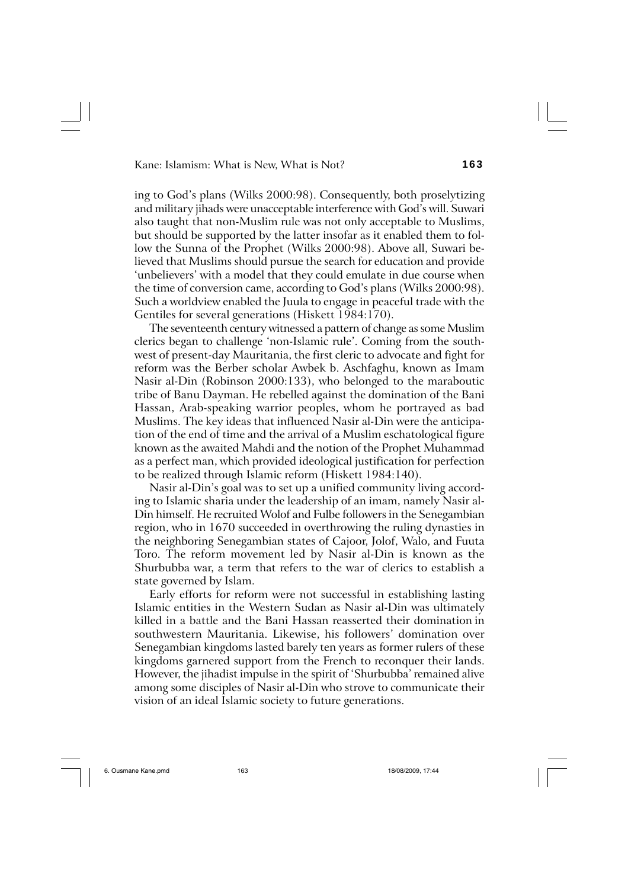ing to God's plans (Wilks 2000:98). Consequently, both proselytizing and military jihads were unacceptable interference with God's will. Suwari also taught that non-Muslim rule was not only acceptable to Muslims, but should be supported by the latter insofar as it enabled them to follow the Sunna of the Prophet (Wilks 2000:98). Above all, Suwari believed that Muslims should pursue the search for education and provide 'unbelievers' with a model that they could emulate in due course when the time of conversion came, according to God's plans (Wilks 2000:98). Such a worldview enabled the Juula to engage in peaceful trade with the Gentiles for several generations (Hiskett 1984:170).

The seventeenth century witnessed a pattern of change as some Muslim clerics began to challenge 'non-Islamic rule'. Coming from the southwest of present-day Mauritania, the first cleric to advocate and fight for reform was the Berber scholar Awbek b. Aschfaghu, known as Imam Nasir al-Din (Robinson 2000:133), who belonged to the maraboutic tribe of Banu Dayman. He rebelled against the domination of the Bani Hassan, Arab-speaking warrior peoples, whom he portrayed as bad Muslims. The key ideas that influenced Nasir al-Din were the anticipation of the end of time and the arrival of a Muslim eschatological figure known as the awaited Mahdi and the notion of the Prophet Muhammad as a perfect man, which provided ideological justification for perfection to be realized through Islamic reform (Hiskett 1984:140).

Nasir al-Din's goal was to set up a unified community living according to Islamic sharia under the leadership of an imam, namely Nasir al-Din himself. He recruited Wolof and Fulbe followers in the Senegambian region, who in 1670 succeeded in overthrowing the ruling dynasties in the neighboring Senegambian states of Cajoor, Jolof, Walo, and Fuuta Toro. The reform movement led by Nasir al-Din is known as the Shurbubba war, a term that refers to the war of clerics to establish a state governed by Islam.

Early efforts for reform were not successful in establishing lasting Islamic entities in the Western Sudan as Nasir al-Din was ultimately killed in a battle and the Bani Hassan reasserted their domination in southwestern Mauritania. Likewise, his followers' domination over Senegambian kingdoms lasted barely ten years as former rulers of these kingdoms garnered support from the French to reconquer their lands. However, the jihadist impulse in the spirit of 'Shurbubba' remained alive among some disciples of Nasir al-Din who strove to communicate their vision of an ideal Islamic society to future generations.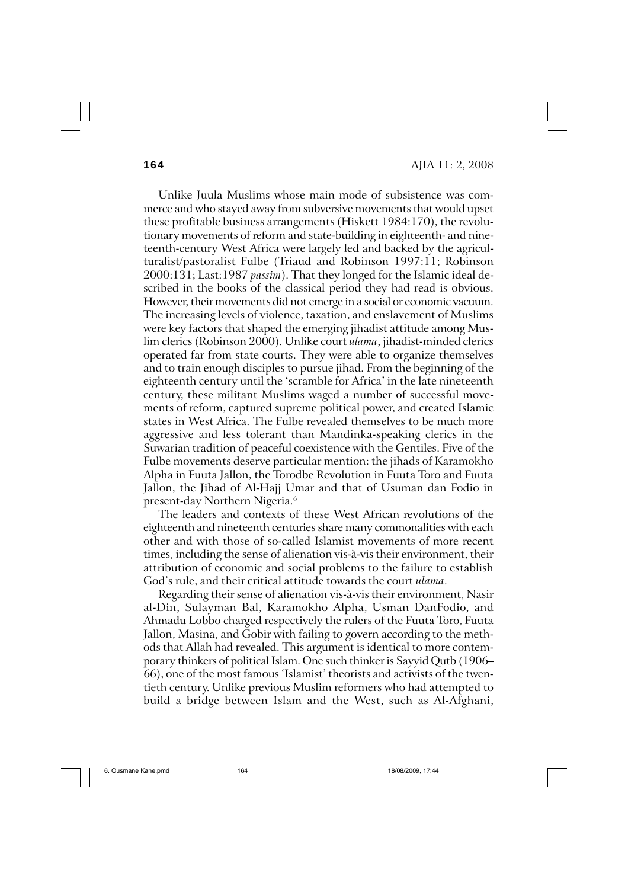Unlike Juula Muslims whose main mode of subsistence was commerce and who stayed away from subversive movements that would upset these profitable business arrangements (Hiskett 1984:170), the revolutionary movements of reform and state-building in eighteenth- and nineteenth-century West Africa were largely led and backed by the agriculturalist/pastoralist Fulbe (Triaud and Robinson 1997:11; Robinson 2000:131; Last:1987 *passim*). That they longed for the Islamic ideal described in the books of the classical period they had read is obvious. However, their movements did not emerge in a social or economic vacuum. The increasing levels of violence, taxation, and enslavement of Muslims were key factors that shaped the emerging jihadist attitude among Muslim clerics (Robinson 2000). Unlike court *ulama*, jihadist-minded clerics operated far from state courts. They were able to organize themselves and to train enough disciples to pursue jihad. From the beginning of the eighteenth century until the 'scramble for Africa' in the late nineteenth century, these militant Muslims waged a number of successful movements of reform, captured supreme political power, and created Islamic states in West Africa. The Fulbe revealed themselves to be much more aggressive and less tolerant than Mandinka-speaking clerics in the Suwarian tradition of peaceful coexistence with the Gentiles. Five of the Fulbe movements deserve particular mention: the jihads of Karamokho Alpha in Fuuta Jallon, the Torodbe Revolution in Fuuta Toro and Fuuta Jallon, the Jihad of Al-Hajj Umar and that of Usuman dan Fodio in present-day Northern Nigeria.6

The leaders and contexts of these West African revolutions of the eighteenth and nineteenth centuries share many commonalities with each other and with those of so-called Islamist movements of more recent times, including the sense of alienation vis-à-vis their environment, their attribution of economic and social problems to the failure to establish God's rule, and their critical attitude towards the court *ulama*.

Regarding their sense of alienation vis-à-vis their environment, Nasir al-Din, Sulayman Bal, Karamokho Alpha, Usman DanFodio, and Ahmadu Lobbo charged respectively the rulers of the Fuuta Toro, Fuuta Jallon, Masina, and Gobir with failing to govern according to the methods that Allah had revealed. This argument is identical to more contemporary thinkers of political Islam. One such thinker is Sayyid Qutb (1906– 66), one of the most famous 'Islamist' theorists and activists of the twentieth century. Unlike previous Muslim reformers who had attempted to build a bridge between Islam and the West, such as Al-Afghani,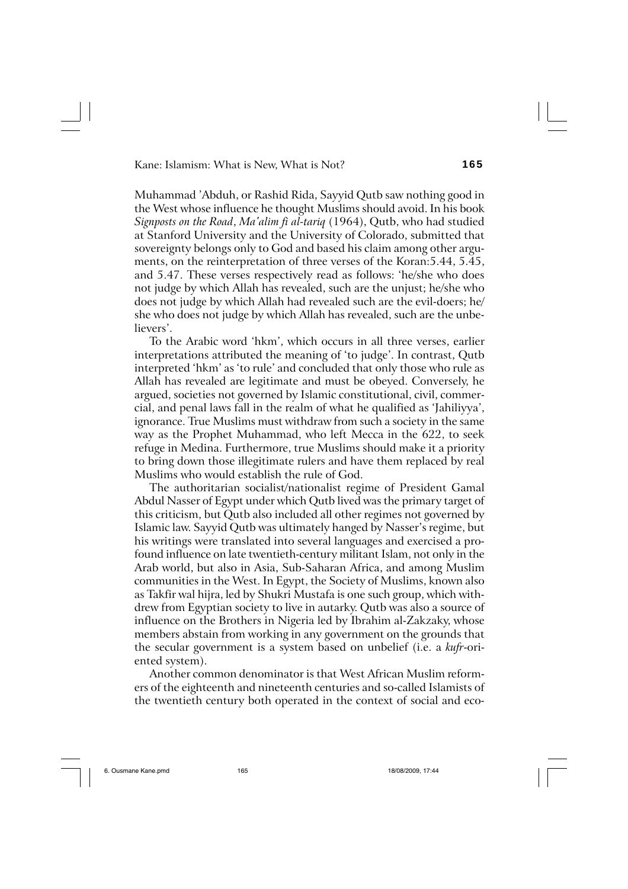Muhammad 'Abduh, or Rashid Rida, Sayyid Qutb saw nothing good in the West whose influence he thought Muslims should avoid. In his book *Signposts on the Road*, *Ma'alim fi al-tariq* (1964), Qutb, who had studied at Stanford University and the University of Colorado, submitted that sovereignty belongs only to God and based his claim among other arguments, on the reinterpretation of three verses of the Koran:5.44, 5.45, and 5.47. These verses respectively read as follows: 'he/she who does not judge by which Allah has revealed, such are the unjust; he/she who does not judge by which Allah had revealed such are the evil-doers; he/ she who does not judge by which Allah has revealed, such are the unbelievers'.

To the Arabic word 'hkm', which occurs in all three verses, earlier interpretations attributed the meaning of 'to judge'. In contrast, Qutb interpreted 'hkm' as 'to rule' and concluded that only those who rule as Allah has revealed are legitimate and must be obeyed. Conversely, he argued, societies not governed by Islamic constitutional, civil, commercial, and penal laws fall in the realm of what he qualified as 'Jahiliyya', ignorance. True Muslims must withdraw from such a society in the same way as the Prophet Muhammad, who left Mecca in the 622, to seek refuge in Medina. Furthermore, true Muslims should make it a priority to bring down those illegitimate rulers and have them replaced by real Muslims who would establish the rule of God.

The authoritarian socialist/nationalist regime of President Gamal Abdul Nasser of Egypt under which Qutb lived was the primary target of this criticism, but Qutb also included all other regimes not governed by Islamic law. Sayyid Qutb was ultimately hanged by Nasser's regime, but his writings were translated into several languages and exercised a profound influence on late twentieth-century militant Islam, not only in the Arab world, but also in Asia, Sub-Saharan Africa, and among Muslim communities in the West. In Egypt, the Society of Muslims, known also as Takfir wal hijra, led by Shukri Mustafa is one such group, which withdrew from Egyptian society to live in autarky. Qutb was also a source of influence on the Brothers in Nigeria led by Ibrahim al-Zakzaky, whose members abstain from working in any government on the grounds that the secular government is a system based on unbelief (i.e. a *kufr*-oriented system).

Another common denominator is that West African Muslim reformers of the eighteenth and nineteenth centuries and so-called Islamists of the twentieth century both operated in the context of social and eco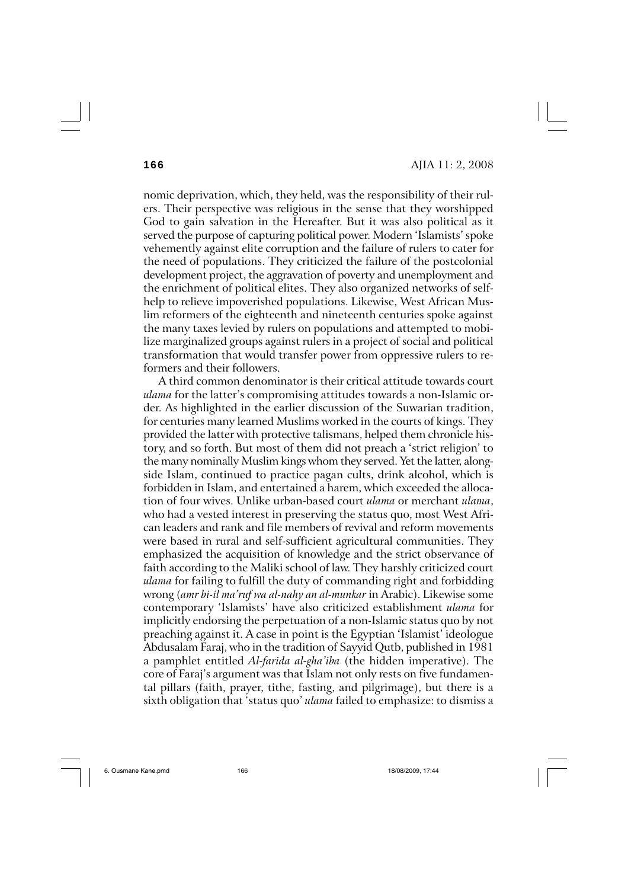nomic deprivation, which, they held, was the responsibility of their rulers. Their perspective was religious in the sense that they worshipped God to gain salvation in the Hereafter. But it was also political as it served the purpose of capturing political power. Modern 'Islamists' spoke vehemently against elite corruption and the failure of rulers to cater for the need of populations. They criticized the failure of the postcolonial development project, the aggravation of poverty and unemployment and the enrichment of political elites. They also organized networks of selfhelp to relieve impoverished populations. Likewise, West African Muslim reformers of the eighteenth and nineteenth centuries spoke against the many taxes levied by rulers on populations and attempted to mobilize marginalized groups against rulers in a project of social and political transformation that would transfer power from oppressive rulers to reformers and their followers.

A third common denominator is their critical attitude towards court *ulama* for the latter's compromising attitudes towards a non-Islamic order. As highlighted in the earlier discussion of the Suwarian tradition, for centuries many learned Muslims worked in the courts of kings. They provided the latter with protective talismans, helped them chronicle history, and so forth. But most of them did not preach a 'strict religion' to the many nominally Muslim kings whom they served. Yet the latter, alongside Islam, continued to practice pagan cults, drink alcohol, which is forbidden in Islam, and entertained a harem, which exceeded the allocation of four wives. Unlike urban-based court *ulama* or merchant *ulama*, who had a vested interest in preserving the status quo, most West African leaders and rank and file members of revival and reform movements were based in rural and self-sufficient agricultural communities. They emphasized the acquisition of knowledge and the strict observance of faith according to the Maliki school of law. They harshly criticized court *ulama* for failing to fulfill the duty of commanding right and forbidding wrong (*amr bi-il ma'ruf wa al-nahy an al-munkar* in Arabic). Likewise some contemporary 'Islamists' have also criticized establishment *ulama* for implicitly endorsing the perpetuation of a non-Islamic status quo by not preaching against it. A case in point is the Egyptian 'Islamist' ideologue Abdusalam Faraj, who in the tradition of Sayyid Qutb, published in 1981 a pamphlet entitled *Al-farida al-gha'iba* (the hidden imperative). The core of Faraj's argument was that Islam not only rests on five fundamental pillars (faith, prayer, tithe, fasting, and pilgrimage), but there is a sixth obligation that 'status quo' *ulama* failed to emphasize: to dismiss a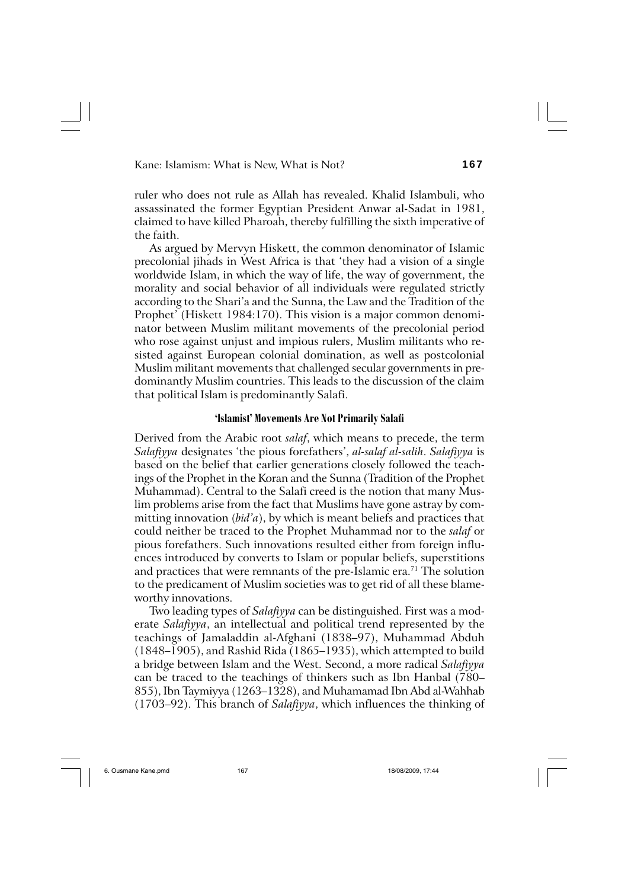ruler who does not rule as Allah has revealed. Khalid Islambuli, who assassinated the former Egyptian President Anwar al-Sadat in 1981, claimed to have killed Pharoah, thereby fulfilling the sixth imperative of the faith.

As argued by Mervyn Hiskett, the common denominator of Islamic precolonial jihads in West Africa is that 'they had a vision of a single worldwide Islam, in which the way of life, the way of government, the morality and social behavior of all individuals were regulated strictly according to the Shari'a and the Sunna, the Law and the Tradition of the Prophet' (Hiskett 1984:170). This vision is a major common denominator between Muslim militant movements of the precolonial period who rose against unjust and impious rulers, Muslim militants who resisted against European colonial domination, as well as postcolonial Muslim militant movements that challenged secular governments in predominantly Muslim countries. This leads to the discussion of the claim that political Islam is predominantly Salafi.

#### **'Islamist' Movements Are Not Primarily Salafi**

Derived from the Arabic root *salaf*, which means to precede, the term *Salafiyya* designates 'the pious forefathers', *al-salaf al-salih*. *Salafiyya* is based on the belief that earlier generations closely followed the teachings of the Prophet in the Koran and the Sunna (Tradition of the Prophet Muhammad). Central to the Salafi creed is the notion that many Muslim problems arise from the fact that Muslims have gone astray by committing innovation (*bid'a*), by which is meant beliefs and practices that could neither be traced to the Prophet Muhammad nor to the *salaf* or pious forefathers. Such innovations resulted either from foreign influences introduced by converts to Islam or popular beliefs, superstitions and practices that were remnants of the pre-Islamic era.<sup>71</sup> The solution to the predicament of Muslim societies was to get rid of all these blameworthy innovations.

Two leading types of *Salafiyya* can be distinguished. First was a moderate *Salafiyya*, an intellectual and political trend represented by the teachings of Jamaladdin al-Afghani (1838–97), Muhammad Abduh (1848–1905), and Rashid Rida (1865–1935), which attempted to build a bridge between Islam and the West. Second, a more radical *Salafiyya* can be traced to the teachings of thinkers such as Ibn Hanbal (780– 855), Ibn Taymiyya (1263–1328), and Muhamamad Ibn Abd al-Wahhab (1703–92). This branch of *Salafiyya*, which influences the thinking of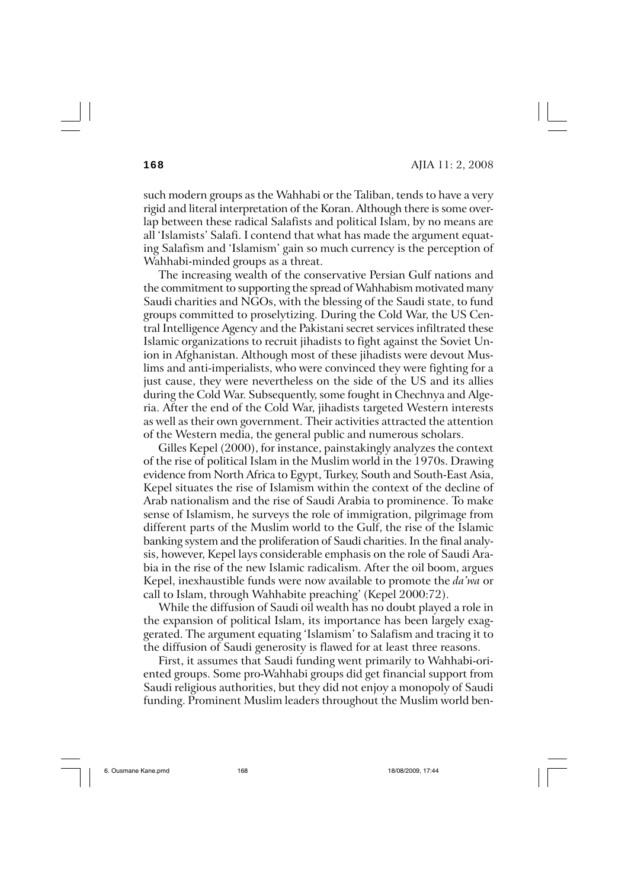such modern groups as the Wahhabi or the Taliban, tends to have a very rigid and literal interpretation of the Koran. Although there is some overlap between these radical Salafists and political Islam, by no means are all 'Islamists' Salafi. I contend that what has made the argument equating Salafism and 'Islamism' gain so much currency is the perception of Wahhabi-minded groups as a threat.

The increasing wealth of the conservative Persian Gulf nations and the commitment to supporting the spread of Wahhabism motivated many Saudi charities and NGOs, with the blessing of the Saudi state, to fund groups committed to proselytizing. During the Cold War, the US Central Intelligence Agency and the Pakistani secret services infiltrated these Islamic organizations to recruit jihadists to fight against the Soviet Union in Afghanistan. Although most of these jihadists were devout Muslims and anti-imperialists, who were convinced they were fighting for a just cause, they were nevertheless on the side of the US and its allies during the Cold War. Subsequently, some fought in Chechnya and Algeria. After the end of the Cold War, jihadists targeted Western interests as well as their own government. Their activities attracted the attention of the Western media, the general public and numerous scholars.

Gilles Kepel (2000), for instance, painstakingly analyzes the context of the rise of political Islam in the Muslim world in the 1970s. Drawing evidence from North Africa to Egypt, Turkey, South and South-East Asia, Kepel situates the rise of Islamism within the context of the decline of Arab nationalism and the rise of Saudi Arabia to prominence. To make sense of Islamism, he surveys the role of immigration, pilgrimage from different parts of the Muslim world to the Gulf, the rise of the Islamic banking system and the proliferation of Saudi charities. In the final analysis, however, Kepel lays considerable emphasis on the role of Saudi Arabia in the rise of the new Islamic radicalism. After the oil boom, argues Kepel, inexhaustible funds were now available to promote the *da'wa* or call to Islam, through Wahhabite preaching' (Kepel 2000:72).

While the diffusion of Saudi oil wealth has no doubt played a role in the expansion of political Islam, its importance has been largely exaggerated. The argument equating 'Islamism' to Salafism and tracing it to the diffusion of Saudi generosity is flawed for at least three reasons.

First, it assumes that Saudi funding went primarily to Wahhabi-oriented groups. Some pro-Wahhabi groups did get financial support from Saudi religious authorities, but they did not enjoy a monopoly of Saudi funding. Prominent Muslim leaders throughout the Muslim world ben-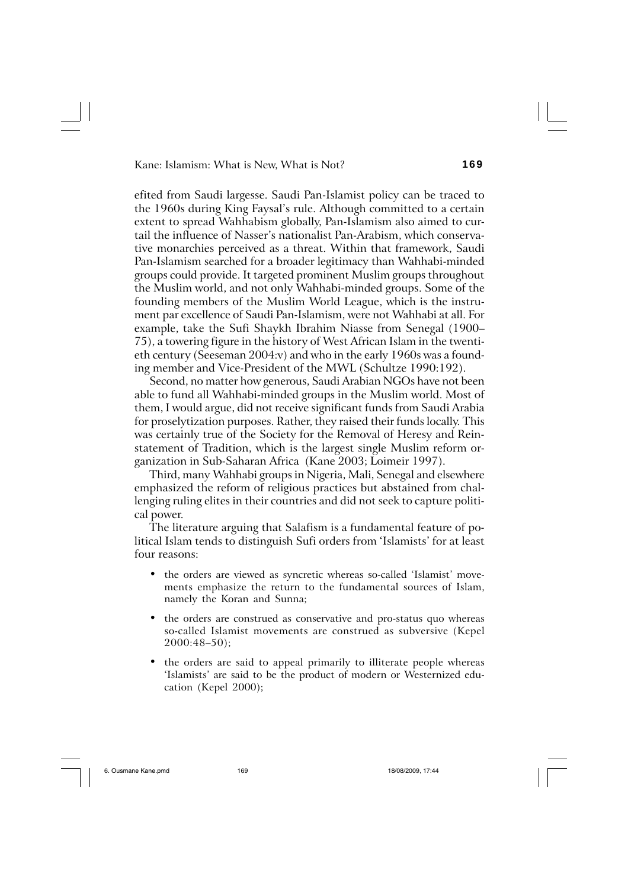efited from Saudi largesse. Saudi Pan-Islamist policy can be traced to the 1960s during King Faysal's rule. Although committed to a certain extent to spread Wahhabism globally, Pan-Islamism also aimed to curtail the influence of Nasser's nationalist Pan-Arabism, which conservative monarchies perceived as a threat. Within that framework, Saudi Pan-Islamism searched for a broader legitimacy than Wahhabi-minded groups could provide. It targeted prominent Muslim groups throughout the Muslim world, and not only Wahhabi-minded groups. Some of the founding members of the Muslim World League, which is the instrument par excellence of Saudi Pan-Islamism, were not Wahhabi at all. For example, take the Sufi Shaykh Ibrahim Niasse from Senegal (1900– 75), a towering figure in the history of West African Islam in the twentieth century (Seeseman 2004:v) and who in the early 1960s was a founding member and Vice-President of the MWL (Schultze 1990:192).

Second, no matter how generous, Saudi Arabian NGOs have not been able to fund all Wahhabi-minded groups in the Muslim world. Most of them, I would argue, did not receive significant funds from Saudi Arabia for proselytization purposes. Rather, they raised their funds locally. This was certainly true of the Society for the Removal of Heresy and Reinstatement of Tradition, which is the largest single Muslim reform organization in Sub-Saharan Africa (Kane 2003; Loimeir 1997).

Third, many Wahhabi groups in Nigeria, Mali, Senegal and elsewhere emphasized the reform of religious practices but abstained from challenging ruling elites in their countries and did not seek to capture political power.

The literature arguing that Salafism is a fundamental feature of political Islam tends to distinguish Sufi orders from 'Islamists' for at least four reasons:

- the orders are viewed as syncretic whereas so-called 'Islamist' movements emphasize the return to the fundamental sources of Islam, namely the Koran and Sunna;
- the orders are construed as conservative and pro-status quo whereas so-called Islamist movements are construed as subversive (Kepel 2000:48–50);
- the orders are said to appeal primarily to illiterate people whereas 'Islamists' are said to be the product of modern or Westernized education (Kepel 2000);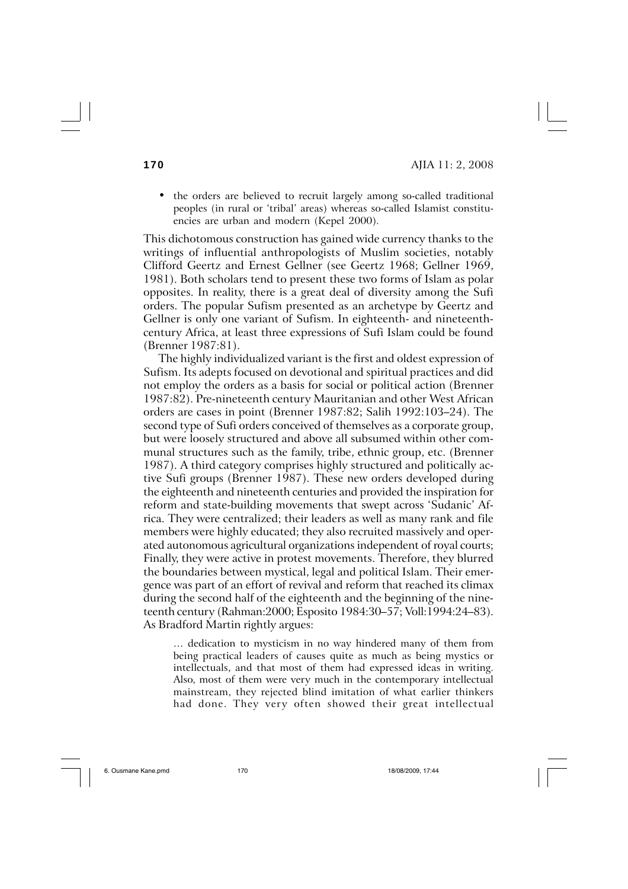• the orders are believed to recruit largely among so-called traditional peoples (in rural or 'tribal' areas) whereas so-called Islamist constituencies are urban and modern (Kepel 2000).

This dichotomous construction has gained wide currency thanks to the writings of influential anthropologists of Muslim societies, notably Clifford Geertz and Ernest Gellner (see Geertz 1968; Gellner 1969, 1981). Both scholars tend to present these two forms of Islam as polar opposites. In reality, there is a great deal of diversity among the Sufi orders. The popular Sufism presented as an archetype by Geertz and Gellner is only one variant of Sufism. In eighteenth- and nineteenthcentury Africa, at least three expressions of Sufi Islam could be found (Brenner 1987:81).

The highly individualized variant is the first and oldest expression of Sufism. Its adepts focused on devotional and spiritual practices and did not employ the orders as a basis for social or political action (Brenner 1987:82). Pre-nineteenth century Mauritanian and other West African orders are cases in point (Brenner 1987:82; Salih 1992:103–24). The second type of Sufi orders conceived of themselves as a corporate group, but were loosely structured and above all subsumed within other communal structures such as the family, tribe, ethnic group, etc. (Brenner 1987). A third category comprises highly structured and politically active Sufi groups (Brenner 1987). These new orders developed during the eighteenth and nineteenth centuries and provided the inspiration for reform and state-building movements that swept across 'Sudanic' Africa. They were centralized; their leaders as well as many rank and file members were highly educated; they also recruited massively and operated autonomous agricultural organizations independent of royal courts; Finally, they were active in protest movements. Therefore, they blurred the boundaries between mystical, legal and political Islam. Their emergence was part of an effort of revival and reform that reached its climax during the second half of the eighteenth and the beginning of the nineteenth century (Rahman:2000; Esposito 1984:30–57; Voll:1994:24–83). As Bradford Martin rightly argues:

… dedication to mysticism in no way hindered many of them from being practical leaders of causes quite as much as being mystics or intellectuals, and that most of them had expressed ideas in writing. Also, most of them were very much in the contemporary intellectual mainstream, they rejected blind imitation of what earlier thinkers had done. They very often showed their great intellectual

6. Ousmane Kane.pmd 170 18/08/2009, 17:44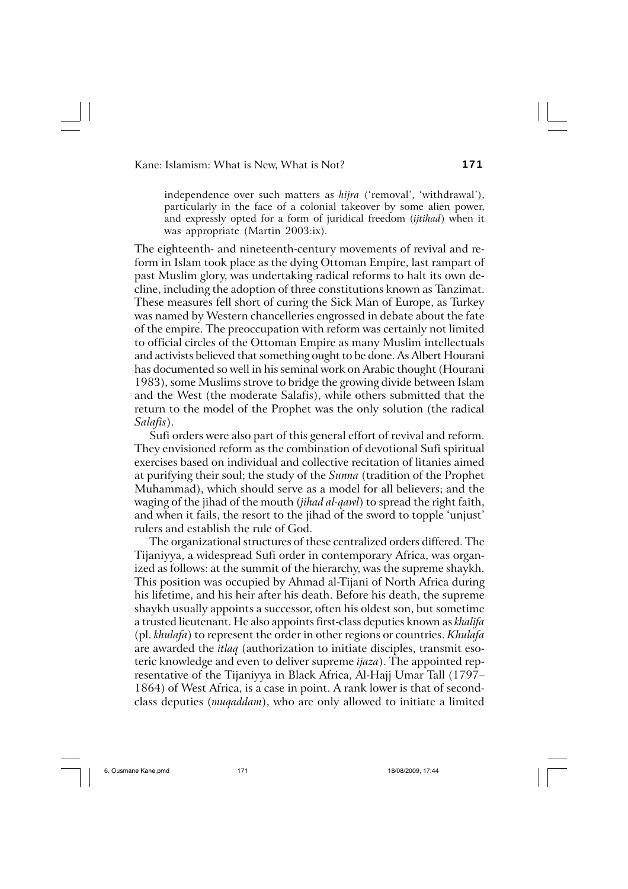independence over such matters as *hijra* ('removal', 'withdrawal'), particularly in the face of a colonial takeover by some alien power, and expressly opted for a form of juridical freedom (*ijtihad*) when it was appropriate (Martin 2003:ix).

The eighteenth- and nineteenth-century movements of revival and reform in Islam took place as the dying Ottoman Empire, last rampart of past Muslim glory, was undertaking radical reforms to halt its own decline, including the adoption of three constitutions known as Tanzimat. These measures fell short of curing the Sick Man of Europe, as Turkey was named by Western chancelleries engrossed in debate about the fate of the empire. The preoccupation with reform was certainly not limited to official circles of the Ottoman Empire as many Muslim intellectuals and activists believed that something ought to be done. As Albert Hourani has documented so well in his seminal work on Arabic thought (Hourani 1983), some Muslims strove to bridge the growing divide between Islam and the West (the moderate Salafis), while others submitted that the return to the model of the Prophet was the only solution (the radical *Salafis*).

Sufi orders were also part of this general effort of revival and reform. They envisioned reform as the combination of devotional Sufi spiritual exercises based on individual and collective recitation of litanies aimed at purifying their soul; the study of the *Sunna* (tradition of the Prophet Muhammad), which should serve as a model for all believers; and the waging of the jihad of the mouth (*jihad al-qawl*) to spread the right faith, and when it fails, the resort to the jihad of the sword to topple 'unjust' rulers and establish the rule of God.

The organizational structures of these centralized orders differed. The Tijaniyya, a widespread Sufi order in contemporary Africa, was organized as follows: at the summit of the hierarchy, was the supreme shaykh. This position was occupied by Ahmad al-Tijani of North Africa during his lifetime, and his heir after his death. Before his death, the supreme shaykh usually appoints a successor, often his oldest son, but sometime a trusted lieutenant. He also appoints first-class deputies known as *khalifa* (pl. *khulafa*) to represent the order in other regions or countries. *Khulafa* are awarded the *itlaq* (authorization to initiate disciples, transmit esoteric knowledge and even to deliver supreme *ijaza*). The appointed representative of the Tijaniyya in Black Africa, Al-Hajj Umar Tall (1797– 1864) of West Africa, is a case in point. A rank lower is that of secondclass deputies (*muqaddam*), who are only allowed to initiate a limited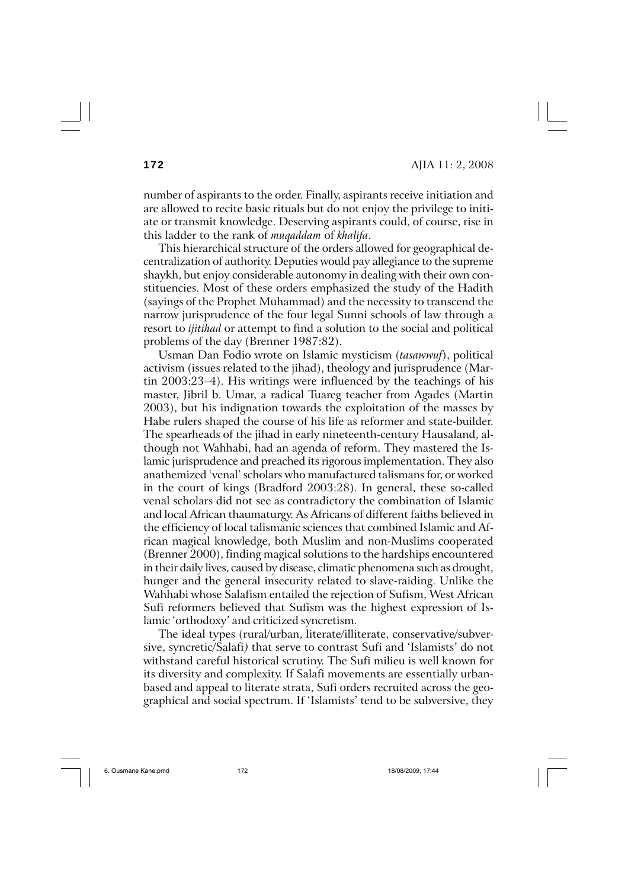number of aspirants to the order. Finally, aspirants receive initiation and are allowed to recite basic rituals but do not enjoy the privilege to initiate or transmit knowledge. Deserving aspirants could, of course, rise in this ladder to the rank of *muqaddam* of *khalifa*.

This hierarchical structure of the orders allowed for geographical decentralization of authority. Deputies would pay allegiance to the supreme shaykh, but enjoy considerable autonomy in dealing with their own constituencies. Most of these orders emphasized the study of the Hadith (sayings of the Prophet Muhammad) and the necessity to transcend the narrow jurisprudence of the four legal Sunni schools of law through a resort to *ijitihad* or attempt to find a solution to the social and political problems of the day (Brenner 1987:82).

Usman Dan Fodio wrote on Islamic mysticism (*tasawwuf*), political activism (issues related to the jihad), theology and jurisprudence (Martin 2003:23–4). His writings were influenced by the teachings of his master, Jibril b. Umar, a radical Tuareg teacher from Agades (Martin 2003), but his indignation towards the exploitation of the masses by Habe rulers shaped the course of his life as reformer and state-builder. The spearheads of the jihad in early nineteenth-century Hausaland, although not Wahhabi, had an agenda of reform. They mastered the Islamic jurisprudence and preached its rigorous implementation. They also anathemized 'venal' scholars who manufactured talismans for, or worked in the court of kings (Bradford 2003:28). In general, these so-called venal scholars did not see as contradictory the combination of Islamic and local African thaumaturgy. As Africans of different faiths believed in the efficiency of local talismanic sciences that combined Islamic and African magical knowledge, both Muslim and non-Muslims cooperated (Brenner 2000), finding magical solutions to the hardships encountered in their daily lives, caused by disease, climatic phenomena such as drought, hunger and the general insecurity related to slave-raiding. Unlike the Wahhabi whose Salafism entailed the rejection of Sufism, West African Sufi reformers believed that Sufism was the highest expression of Islamic 'orthodoxy' and criticized syncretism.

The ideal types (rural/urban, literate/illiterate, conservative/subversive, syncretic/Salafi*)* that serve to contrast Sufi and 'Islamists' do not withstand careful historical scrutiny. The Sufi milieu is well known for its diversity and complexity. If Salafi movements are essentially urbanbased and appeal to literate strata, Sufi orders recruited across the geographical and social spectrum. If 'Islamists' tend to be subversive, they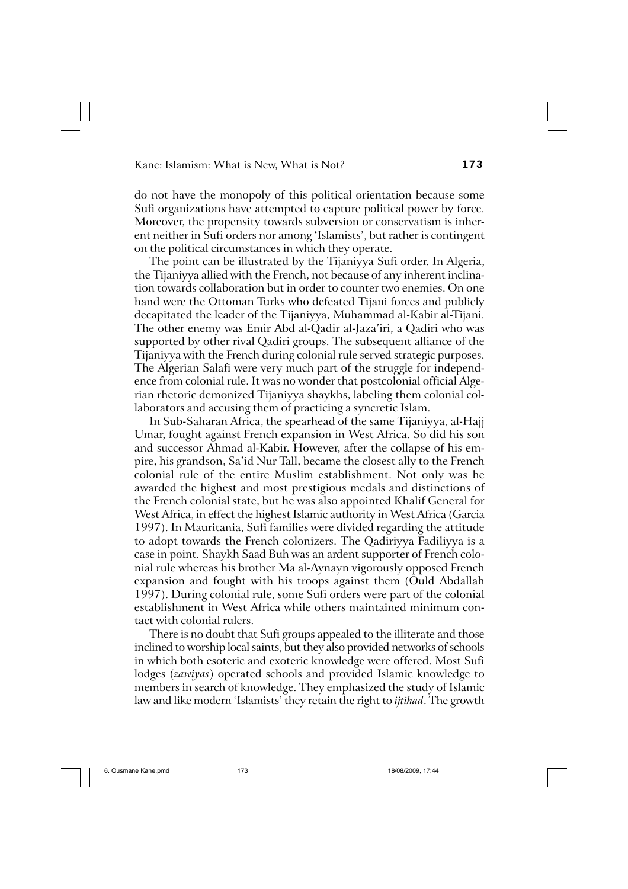do not have the monopoly of this political orientation because some Sufi organizations have attempted to capture political power by force. Moreover, the propensity towards subversion or conservatism is inherent neither in Sufi orders nor among 'Islamists', but rather is contingent on the political circumstances in which they operate.

The point can be illustrated by the Tijaniyya Sufi order. In Algeria, the Tijaniyya allied with the French, not because of any inherent inclination towards collaboration but in order to counter two enemies. On one hand were the Ottoman Turks who defeated Tijani forces and publicly decapitated the leader of the Tijaniyya, Muhammad al-Kabir al-Tijani. The other enemy was Emir Abd al-Qadir al-Jaza'iri, a Qadiri who was supported by other rival Qadiri groups. The subsequent alliance of the Tijaniyya with the French during colonial rule served strategic purposes. The Algerian Salafi were very much part of the struggle for independence from colonial rule. It was no wonder that postcolonial official Algerian rhetoric demonized Tijaniyya shaykhs, labeling them colonial collaborators and accusing them of practicing a syncretic Islam.

In Sub-Saharan Africa, the spearhead of the same Tijaniyya, al-Hajj Umar, fought against French expansion in West Africa. So did his son and successor Ahmad al-Kabir. However, after the collapse of his empire, his grandson, Sa'id Nur Tall, became the closest ally to the French colonial rule of the entire Muslim establishment. Not only was he awarded the highest and most prestigious medals and distinctions of the French colonial state, but he was also appointed Khalif General for West Africa, in effect the highest Islamic authority in West Africa (Garcia 1997). In Mauritania, Sufi families were divided regarding the attitude to adopt towards the French colonizers. The Qadiriyya Fadiliyya is a case in point. Shaykh Saad Buh was an ardent supporter of French colonial rule whereas his brother Ma al-Aynayn vigorously opposed French expansion and fought with his troops against them (Ould Abdallah 1997). During colonial rule, some Sufi orders were part of the colonial establishment in West Africa while others maintained minimum contact with colonial rulers.

There is no doubt that Sufi groups appealed to the illiterate and those inclined to worship local saints, but they also provided networks of schools in which both esoteric and exoteric knowledge were offered. Most Sufi lodges (*zawiyas*) operated schools and provided Islamic knowledge to members in search of knowledge. They emphasized the study of Islamic law and like modern 'Islamists' they retain the right to *ijtihad*. The growth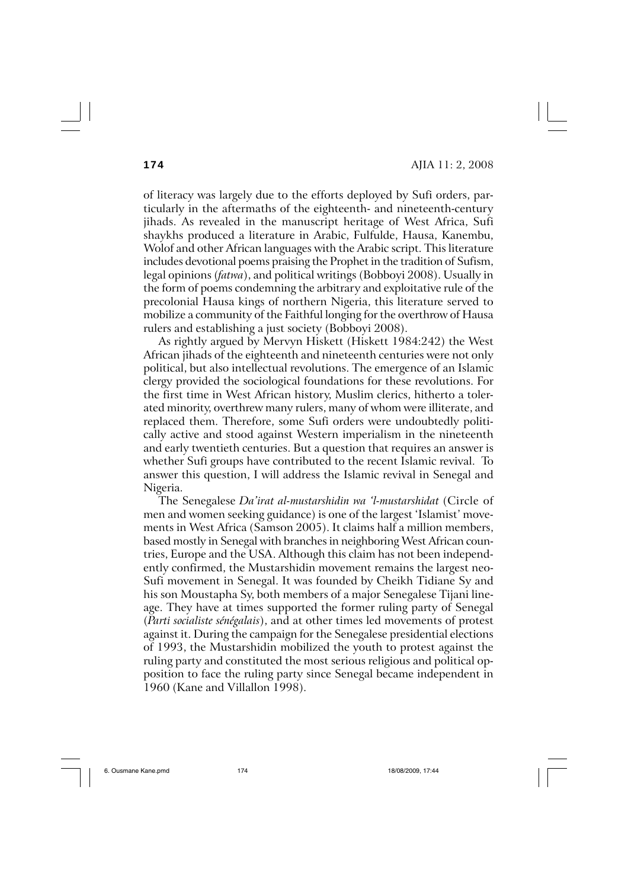of literacy was largely due to the efforts deployed by Sufi orders, particularly in the aftermaths of the eighteenth- and nineteenth-century jihads. As revealed in the manuscript heritage of West Africa, Sufi shaykhs produced a literature in Arabic, Fulfulde, Hausa, Kanembu, Wolof and other African languages with the Arabic script. This literature includes devotional poems praising the Prophet in the tradition of Sufism, legal opinions (*fatwa*), and political writings (Bobboyi 2008). Usually in the form of poems condemning the arbitrary and exploitative rule of the precolonial Hausa kings of northern Nigeria, this literature served to mobilize a community of the Faithful longing for the overthrow of Hausa rulers and establishing a just society (Bobboyi 2008).

As rightly argued by Mervyn Hiskett (Hiskett 1984:242) the West African jihads of the eighteenth and nineteenth centuries were not only political, but also intellectual revolutions. The emergence of an Islamic clergy provided the sociological foundations for these revolutions. For the first time in West African history, Muslim clerics, hitherto a tolerated minority, overthrew many rulers, many of whom were illiterate, and replaced them. Therefore, some Sufi orders were undoubtedly politically active and stood against Western imperialism in the nineteenth and early twentieth centuries. But a question that requires an answer is whether Sufi groups have contributed to the recent Islamic revival. To answer this question, I will address the Islamic revival in Senegal and Nigeria.

The Senegalese *Da'irat al-mustarshidin wa 'l-mustarshidat* (Circle of men and women seeking guidance) is one of the largest 'Islamist' movements in West Africa (Samson 2005). It claims half a million members, based mostly in Senegal with branches in neighboring West African countries, Europe and the USA. Although this claim has not been independently confirmed, the Mustarshidin movement remains the largest neo-Sufi movement in Senegal. It was founded by Cheikh Tidiane Sy and his son Moustapha Sy, both members of a major Senegalese Tijani lineage. They have at times supported the former ruling party of Senegal (*Parti socialiste sénégalais*), and at other times led movements of protest against it. During the campaign for the Senegalese presidential elections of 1993, the Mustarshidin mobilized the youth to protest against the ruling party and constituted the most serious religious and political opposition to face the ruling party since Senegal became independent in 1960 (Kane and Villallon 1998).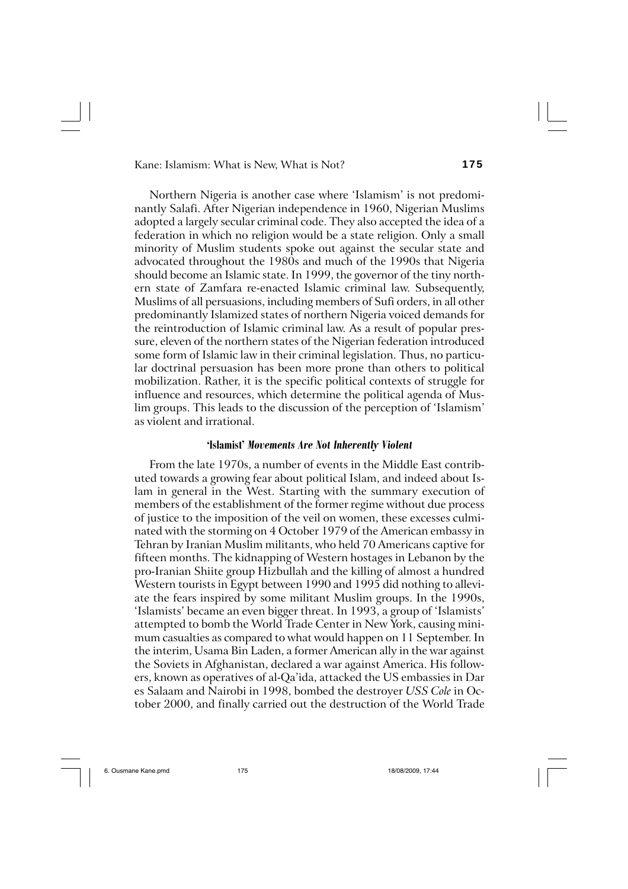Northern Nigeria is another case where 'Islamism' is not predominantly Salafi. After Nigerian independence in 1960, Nigerian Muslims adopted a largely secular criminal code. They also accepted the idea of a federation in which no religion would be a state religion. Only a small minority of Muslim students spoke out against the secular state and advocated throughout the 1980s and much of the 1990s that Nigeria should become an Islamic state. In 1999, the governor of the tiny northern state of Zamfara re-enacted Islamic criminal law. Subsequently, Muslims of all persuasions, including members of Sufi orders, in all other predominantly Islamized states of northern Nigeria voiced demands for the reintroduction of Islamic criminal law. As a result of popular pressure, eleven of the northern states of the Nigerian federation introduced some form of Islamic law in their criminal legislation. Thus, no particular doctrinal persuasion has been more prone than others to political mobilization. Rather, it is the specific political contexts of struggle for influence and resources, which determine the political agenda of Muslim groups. This leads to the discussion of the perception of 'Islamism' as violent and irrational.

### **'Islamist'** *Movements Are Not Inherently Violent*

From the late 1970s, a number of events in the Middle East contributed towards a growing fear about political Islam, and indeed about Islam in general in the West. Starting with the summary execution of members of the establishment of the former regime without due process of justice to the imposition of the veil on women, these excesses culminated with the storming on 4 October 1979 of the American embassy in Tehran by Iranian Muslim militants, who held 70 Americans captive for fifteen months. The kidnapping of Western hostages in Lebanon by the pro-Iranian Shiite group Hizbullah and the killing of almost a hundred Western tourists in Egypt between 1990 and 1995 did nothing to alleviate the fears inspired by some militant Muslim groups. In the 1990s, 'Islamists' became an even bigger threat. In 1993, a group of 'Islamists' attempted to bomb the World Trade Center in New York, causing minimum casualties as compared to what would happen on 11 September. In the interim, Usama Bin Laden, a former American ally in the war against the Soviets in Afghanistan, declared a war against America. His followers, known as operatives of al-Qa'ida, attacked the US embassies in Dar es Salaam and Nairobi in 1998, bombed the destroyer *USS Cole* in October 2000, and finally carried out the destruction of the World Trade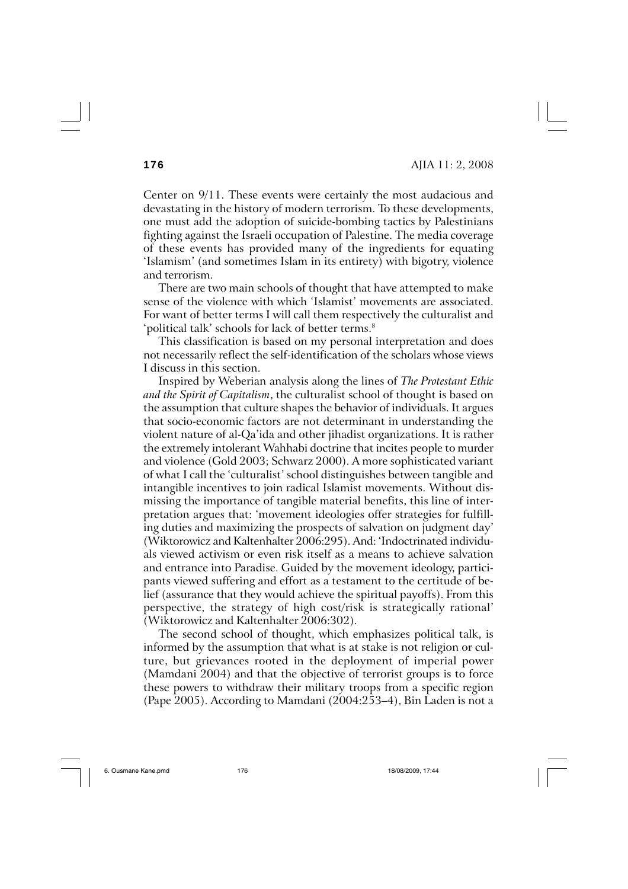Center on 9/11. These events were certainly the most audacious and devastating in the history of modern terrorism. To these developments, one must add the adoption of suicide-bombing tactics by Palestinians fighting against the Israeli occupation of Palestine. The media coverage of these events has provided many of the ingredients for equating 'Islamism' (and sometimes Islam in its entirety) with bigotry, violence and terrorism.

There are two main schools of thought that have attempted to make sense of the violence with which 'Islamist' movements are associated. For want of better terms I will call them respectively the culturalist and 'political talk' schools for lack of better terms.<sup>8</sup>

This classification is based on my personal interpretation and does not necessarily reflect the self-identification of the scholars whose views I discuss in this section.

Inspired by Weberian analysis along the lines of *The Protestant Ethic and the Spirit of Capitalism*, the culturalist school of thought is based on the assumption that culture shapes the behavior of individuals. It argues that socio-economic factors are not determinant in understanding the violent nature of al-Qa'ida and other jihadist organizations. It is rather the extremely intolerant Wahhabi doctrine that incites people to murder and violence (Gold 2003; Schwarz 2000). A more sophisticated variant of what I call the 'culturalist' school distinguishes between tangible and intangible incentives to join radical Islamist movements. Without dismissing the importance of tangible material benefits, this line of interpretation argues that: 'movement ideologies offer strategies for fulfilling duties and maximizing the prospects of salvation on judgment day' (Wiktorowicz and Kaltenhalter 2006:295). And: 'Indoctrinated individuals viewed activism or even risk itself as a means to achieve salvation and entrance into Paradise. Guided by the movement ideology, participants viewed suffering and effort as a testament to the certitude of belief (assurance that they would achieve the spiritual payoffs). From this perspective, the strategy of high cost/risk is strategically rational' (Wiktorowicz and Kaltenhalter 2006:302).

The second school of thought, which emphasizes political talk, is informed by the assumption that what is at stake is not religion or culture, but grievances rooted in the deployment of imperial power (Mamdani 2004) and that the objective of terrorist groups is to force these powers to withdraw their military troops from a specific region (Pape 2005). According to Mamdani (2004:253–4), Bin Laden is not a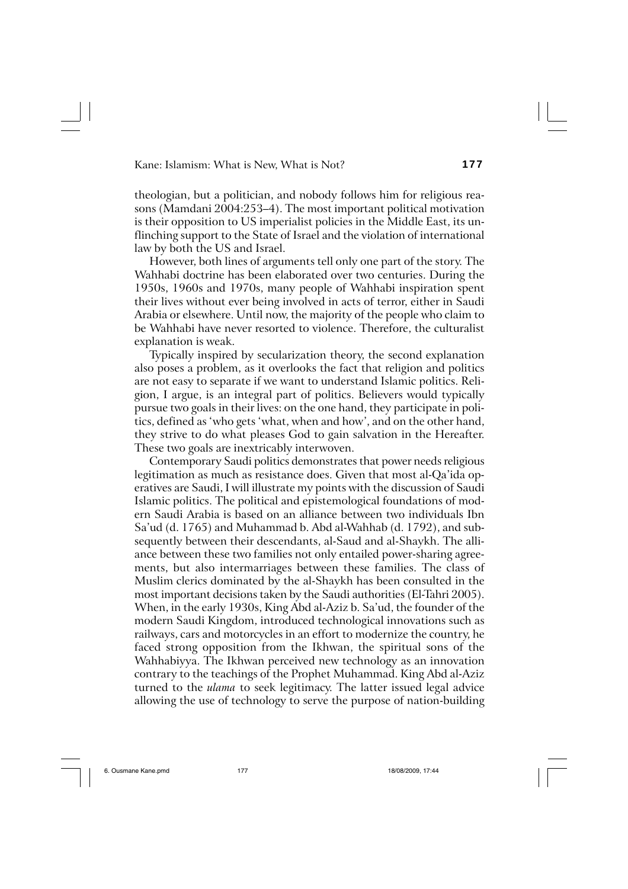theologian, but a politician, and nobody follows him for religious reasons (Mamdani 2004:253–4). The most important political motivation is their opposition to US imperialist policies in the Middle East, its unflinching support to the State of Israel and the violation of international law by both the US and Israel.

However, both lines of arguments tell only one part of the story. The Wahhabi doctrine has been elaborated over two centuries. During the 1950s, 1960s and 1970s, many people of Wahhabi inspiration spent their lives without ever being involved in acts of terror, either in Saudi Arabia or elsewhere. Until now, the majority of the people who claim to be Wahhabi have never resorted to violence. Therefore, the culturalist explanation is weak.

Typically inspired by secularization theory, the second explanation also poses a problem, as it overlooks the fact that religion and politics are not easy to separate if we want to understand Islamic politics. Religion, I argue, is an integral part of politics. Believers would typically pursue two goals in their lives: on the one hand, they participate in politics, defined as 'who gets 'what, when and how', and on the other hand, they strive to do what pleases God to gain salvation in the Hereafter. These two goals are inextricably interwoven.

Contemporary Saudi politics demonstrates that power needs religious legitimation as much as resistance does. Given that most al-Qa'ida operatives are Saudi, I will illustrate my points with the discussion of Saudi Islamic politics. The political and epistemological foundations of modern Saudi Arabia is based on an alliance between two individuals Ibn Sa'ud (d. 1765) and Muhammad b. Abd al-Wahhab (d. 1792), and subsequently between their descendants, al-Saud and al-Shaykh. The alliance between these two families not only entailed power-sharing agreements, but also intermarriages between these families. The class of Muslim clerics dominated by the al-Shaykh has been consulted in the most important decisions taken by the Saudi authorities (El-Tahri 2005). When, in the early 1930s, King Abd al-Aziz b. Sa'ud, the founder of the modern Saudi Kingdom, introduced technological innovations such as railways, cars and motorcycles in an effort to modernize the country, he faced strong opposition from the Ikhwan, the spiritual sons of the Wahhabiyya. The Ikhwan perceived new technology as an innovation contrary to the teachings of the Prophet Muhammad. King Abd al-Aziz turned to the *ulama* to seek legitimacy. The latter issued legal advice allowing the use of technology to serve the purpose of nation-building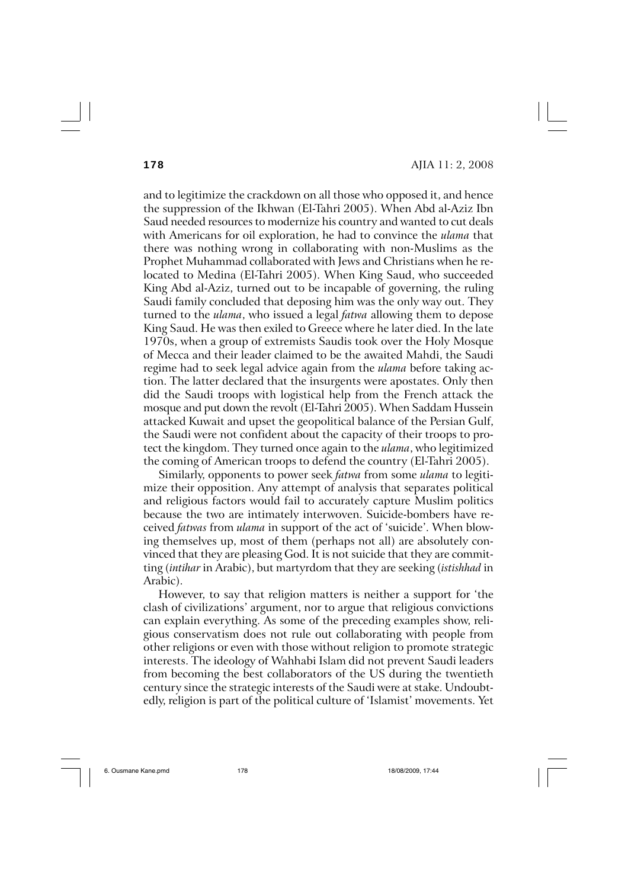and to legitimize the crackdown on all those who opposed it, and hence the suppression of the Ikhwan (El-Tahri 2005). When Abd al-Aziz Ibn Saud needed resources to modernize his country and wanted to cut deals with Americans for oil exploration, he had to convince the *ulama* that there was nothing wrong in collaborating with non-Muslims as the Prophet Muhammad collaborated with Jews and Christians when he relocated to Medina (El-Tahri 2005). When King Saud, who succeeded King Abd al-Aziz, turned out to be incapable of governing, the ruling Saudi family concluded that deposing him was the only way out. They turned to the *ulama*, who issued a legal *fatwa* allowing them to depose King Saud. He was then exiled to Greece where he later died. In the late 1970s, when a group of extremists Saudis took over the Holy Mosque of Mecca and their leader claimed to be the awaited Mahdi, the Saudi regime had to seek legal advice again from the *ulama* before taking action. The latter declared that the insurgents were apostates. Only then did the Saudi troops with logistical help from the French attack the mosque and put down the revolt (El-Tahri 2005). When Saddam Hussein attacked Kuwait and upset the geopolitical balance of the Persian Gulf, the Saudi were not confident about the capacity of their troops to protect the kingdom. They turned once again to the *ulama*, who legitimized the coming of American troops to defend the country (El-Tahri 2005).

Similarly, opponents to power seek *fatwa* from some *ulama* to legitimize their opposition. Any attempt of analysis that separates political and religious factors would fail to accurately capture Muslim politics because the two are intimately interwoven. Suicide-bombers have received *fatwas* from *ulama* in support of the act of 'suicide'. When blowing themselves up, most of them (perhaps not all) are absolutely convinced that they are pleasing God. It is not suicide that they are committing (*intihar* in Arabic), but martyrdom that they are seeking (*istishhad* in Arabic).

However, to say that religion matters is neither a support for 'the clash of civilizations' argument, nor to argue that religious convictions can explain everything. As some of the preceding examples show, religious conservatism does not rule out collaborating with people from other religions or even with those without religion to promote strategic interests. The ideology of Wahhabi Islam did not prevent Saudi leaders from becoming the best collaborators of the US during the twentieth century since the strategic interests of the Saudi were at stake. Undoubtedly, religion is part of the political culture of 'Islamist' movements. Yet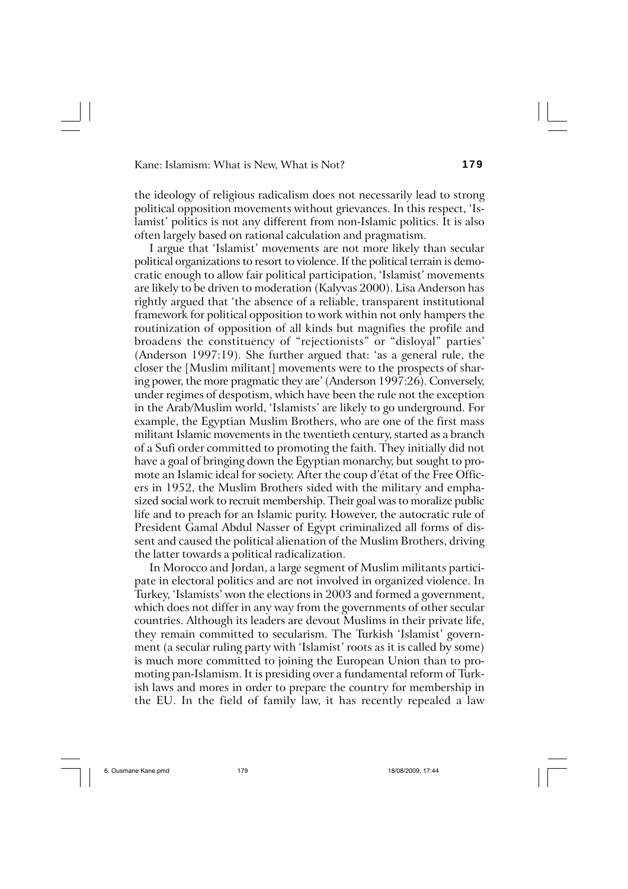the ideology of religious radicalism does not necessarily lead to strong political opposition movements without grievances. In this respect, 'Islamist' politics is not any different from non-Islamic politics. It is also often largely based on rational calculation and pragmatism.

I argue that 'Islamist' movements are not more likely than secular political organizations to resort to violence. If the political terrain is democratic enough to allow fair political participation, 'Islamist' movements are likely to be driven to moderation (Kalyvas 2000). Lisa Anderson has rightly argued that 'the absence of a reliable, transparent institutional framework for political opposition to work within not only hampers the routinization of opposition of all kinds but magnifies the profile and broadens the constituency of "rejectionists" or "disloyal" parties' (Anderson 1997:19). She further argued that: 'as a general rule, the closer the [Muslim militant] movements were to the prospects of sharing power, the more pragmatic they are' (Anderson 1997:26). Conversely, under regimes of despotism, which have been the rule not the exception in the Arab/Muslim world, 'Islamists' are likely to go underground. For example, the Egyptian Muslim Brothers, who are one of the first mass militant Islamic movements in the twentieth century, started as a branch of a Sufi order committed to promoting the faith. They initially did not have a goal of bringing down the Egyptian monarchy, but sought to promote an Islamic ideal for society. After the coup d'état of the Free Officers in 1952, the Muslim Brothers sided with the military and emphasized social work to recruit membership. Their goal was to moralize public life and to preach for an Islamic purity. However, the autocratic rule of President Gamal Abdul Nasser of Egypt criminalized all forms of dissent and caused the political alienation of the Muslim Brothers, driving the latter towards a political radicalization.

In Morocco and Jordan, a large segment of Muslim militants participate in electoral politics and are not involved in organized violence. In Turkey, 'Islamists' won the elections in 2003 and formed a government, which does not differ in any way from the governments of other secular countries. Although its leaders are devout Muslims in their private life, they remain committed to secularism. The Turkish 'Islamist' government (a secular ruling party with 'Islamist' roots as it is called by some) is much more committed to joining the European Union than to promoting pan-Islamism. It is presiding over a fundamental reform of Turkish laws and mores in order to prepare the country for membership in the EU. In the field of family law, it has recently repealed a law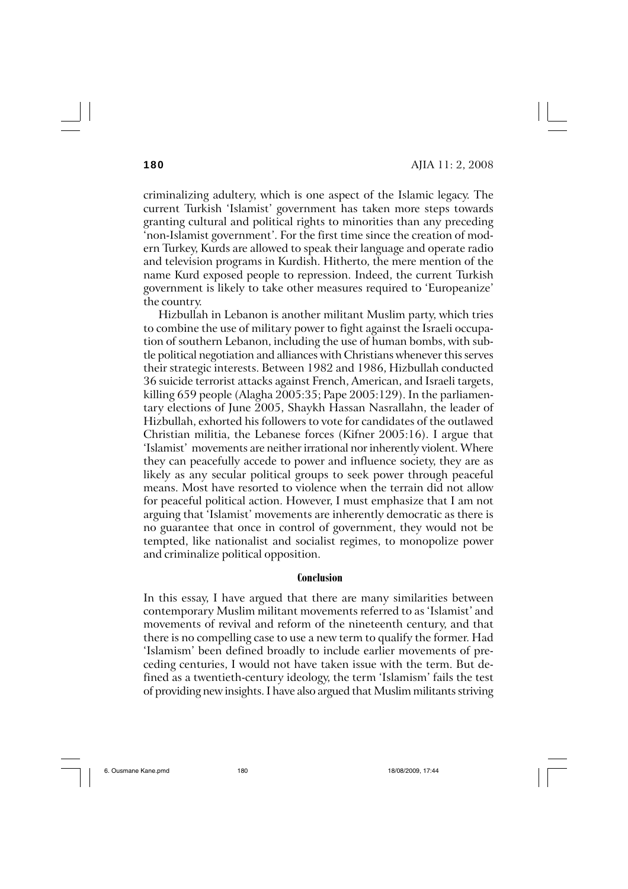criminalizing adultery, which is one aspect of the Islamic legacy. The current Turkish 'Islamist' government has taken more steps towards granting cultural and political rights to minorities than any preceding 'non-Islamist government'. For the first time since the creation of modern Turkey, Kurds are allowed to speak their language and operate radio and television programs in Kurdish. Hitherto, the mere mention of the name Kurd exposed people to repression. Indeed, the current Turkish government is likely to take other measures required to 'Europeanize' the country.

Hizbullah in Lebanon is another militant Muslim party, which tries to combine the use of military power to fight against the Israeli occupation of southern Lebanon, including the use of human bombs, with subtle political negotiation and alliances with Christians whenever this serves their strategic interests. Between 1982 and 1986, Hizbullah conducted 36 suicide terrorist attacks against French, American, and Israeli targets, killing 659 people (Alagha 2005:35; Pape 2005:129). In the parliamentary elections of June 2005, Shaykh Hassan Nasrallahn, the leader of Hizbullah, exhorted his followers to vote for candidates of the outlawed Christian militia, the Lebanese forces (Kifner 2005:16). I argue that 'Islamist' movements are neither irrational nor inherently violent. Where they can peacefully accede to power and influence society, they are as likely as any secular political groups to seek power through peaceful means. Most have resorted to violence when the terrain did not allow for peaceful political action. However, I must emphasize that I am not arguing that 'Islamist' movements are inherently democratic as there is no guarantee that once in control of government, they would not be tempted, like nationalist and socialist regimes, to monopolize power and criminalize political opposition.

## **Conclusion**

In this essay, I have argued that there are many similarities between contemporary Muslim militant movements referred to as 'Islamist' and movements of revival and reform of the nineteenth century, and that there is no compelling case to use a new term to qualify the former. Had 'Islamism' been defined broadly to include earlier movements of preceding centuries, I would not have taken issue with the term. But defined as a twentieth-century ideology, the term 'Islamism' fails the test of providing new insights. I have also argued that Muslim militants striving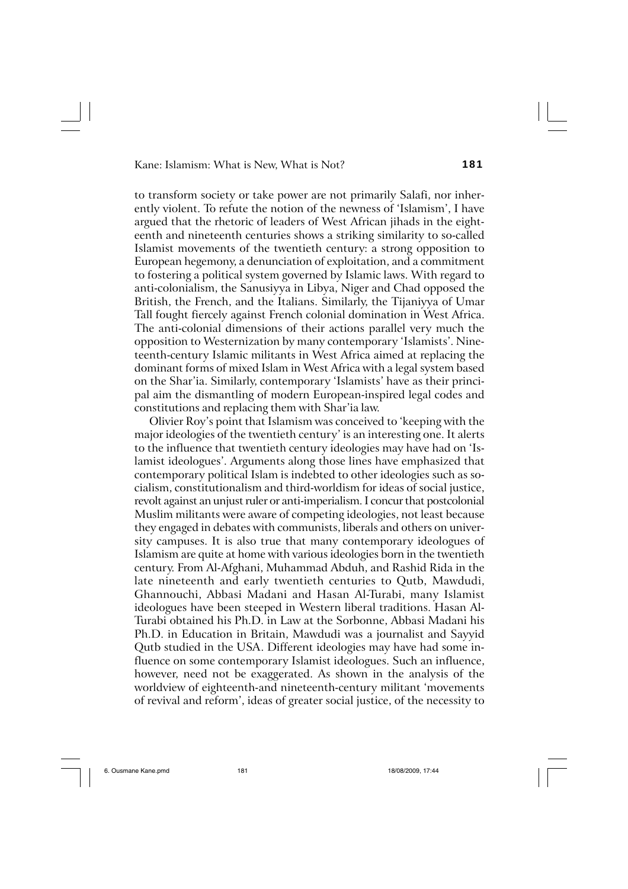to transform society or take power are not primarily Salafi, nor inherently violent. To refute the notion of the newness of 'Islamism', I have argued that the rhetoric of leaders of West African jihads in the eighteenth and nineteenth centuries shows a striking similarity to so-called Islamist movements of the twentieth century: a strong opposition to European hegemony, a denunciation of exploitation, and a commitment to fostering a political system governed by Islamic laws. With regard to anti-colonialism, the Sanusiyya in Libya, Niger and Chad opposed the British, the French, and the Italians. Similarly, the Tijaniyya of Umar Tall fought fiercely against French colonial domination in West Africa. The anti-colonial dimensions of their actions parallel very much the opposition to Westernization by many contemporary 'Islamists'. Nineteenth-century Islamic militants in West Africa aimed at replacing the dominant forms of mixed Islam in West Africa with a legal system based on the Shar'ia. Similarly, contemporary 'Islamists' have as their principal aim the dismantling of modern European-inspired legal codes and constitutions and replacing them with Shar'ia law.

Olivier Roy's point that Islamism was conceived to 'keeping with the major ideologies of the twentieth century' is an interesting one. It alerts to the influence that twentieth century ideologies may have had on 'Islamist ideologues'. Arguments along those lines have emphasized that contemporary political Islam is indebted to other ideologies such as socialism, constitutionalism and third-worldism for ideas of social justice, revolt against an unjust ruler or anti-imperialism. I concur that postcolonial Muslim militants were aware of competing ideologies, not least because they engaged in debates with communists, liberals and others on university campuses. It is also true that many contemporary ideologues of Islamism are quite at home with various ideologies born in the twentieth century. From Al-Afghani, Muhammad Abduh, and Rashid Rida in the late nineteenth and early twentieth centuries to Qutb, Mawdudi, Ghannouchi, Abbasi Madani and Hasan Al-Turabi, many Islamist ideologues have been steeped in Western liberal traditions. Hasan Al-Turabi obtained his Ph.D. in Law at the Sorbonne, Abbasi Madani his Ph.D. in Education in Britain, Mawdudi was a journalist and Sayyid Qutb studied in the USA. Different ideologies may have had some influence on some contemporary Islamist ideologues. Such an influence, however, need not be exaggerated. As shown in the analysis of the worldview of eighteenth-and nineteenth-century militant 'movements of revival and reform', ideas of greater social justice, of the necessity to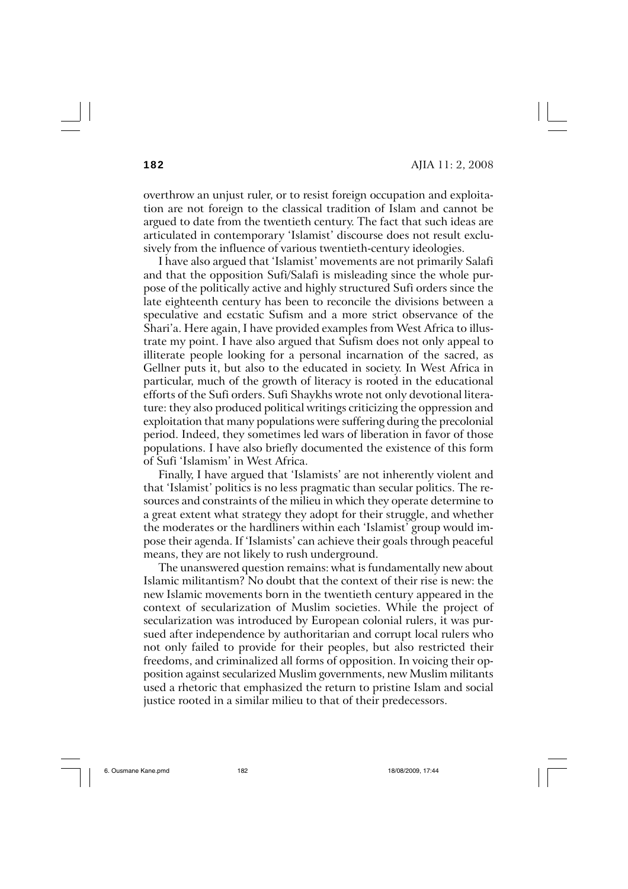overthrow an unjust ruler, or to resist foreign occupation and exploitation are not foreign to the classical tradition of Islam and cannot be argued to date from the twentieth century. The fact that such ideas are articulated in contemporary 'Islamist' discourse does not result exclusively from the influence of various twentieth-century ideologies.

I have also argued that 'Islamist' movements are not primarily Salafi and that the opposition Sufi/Salafi is misleading since the whole purpose of the politically active and highly structured Sufi orders since the late eighteenth century has been to reconcile the divisions between a speculative and ecstatic Sufism and a more strict observance of the Shari'a. Here again, I have provided examples from West Africa to illustrate my point. I have also argued that Sufism does not only appeal to illiterate people looking for a personal incarnation of the sacred, as Gellner puts it, but also to the educated in society. In West Africa in particular, much of the growth of literacy is rooted in the educational efforts of the Sufi orders. Sufi Shaykhs wrote not only devotional literature: they also produced political writings criticizing the oppression and exploitation that many populations were suffering during the precolonial period. Indeed, they sometimes led wars of liberation in favor of those populations. I have also briefly documented the existence of this form of Sufi 'Islamism' in West Africa.

Finally, I have argued that 'Islamists' are not inherently violent and that 'Islamist' politics is no less pragmatic than secular politics. The resources and constraints of the milieu in which they operate determine to a great extent what strategy they adopt for their struggle, and whether the moderates or the hardliners within each 'Islamist' group would impose their agenda. If 'Islamists' can achieve their goals through peaceful means, they are not likely to rush underground.

The unanswered question remains: what is fundamentally new about Islamic militantism? No doubt that the context of their rise is new: the new Islamic movements born in the twentieth century appeared in the context of secularization of Muslim societies. While the project of secularization was introduced by European colonial rulers, it was pursued after independence by authoritarian and corrupt local rulers who not only failed to provide for their peoples, but also restricted their freedoms, and criminalized all forms of opposition. In voicing their opposition against secularized Muslim governments, new Muslim militants used a rhetoric that emphasized the return to pristine Islam and social justice rooted in a similar milieu to that of their predecessors.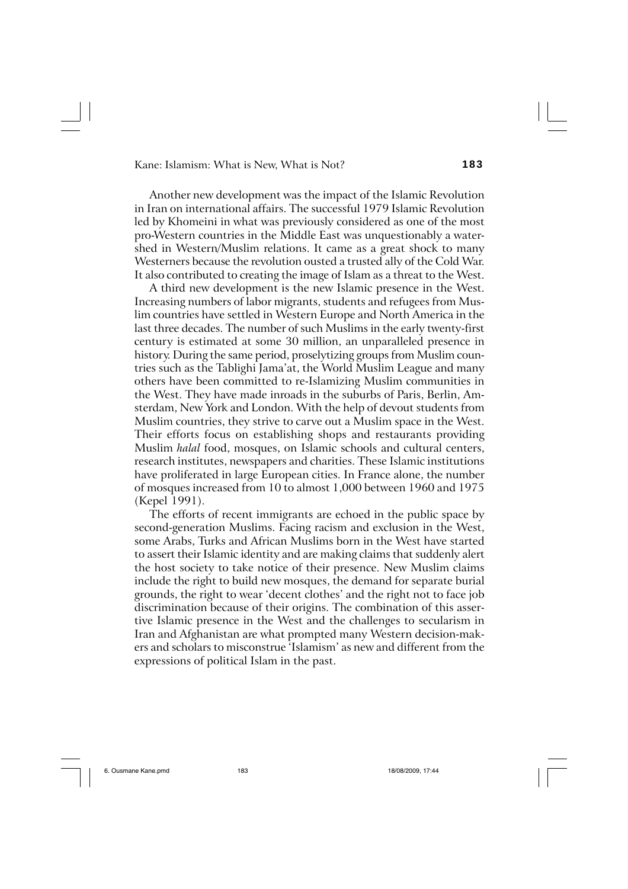Another new development was the impact of the Islamic Revolution in Iran on international affairs. The successful 1979 Islamic Revolution led by Khomeini in what was previously considered as one of the most pro-Western countries in the Middle East was unquestionably a watershed in Western/Muslim relations. It came as a great shock to many Westerners because the revolution ousted a trusted ally of the Cold War. It also contributed to creating the image of Islam as a threat to the West.

A third new development is the new Islamic presence in the West. Increasing numbers of labor migrants, students and refugees from Muslim countries have settled in Western Europe and North America in the last three decades. The number of such Muslims in the early twenty-first century is estimated at some 30 million, an unparalleled presence in history. During the same period, proselytizing groups from Muslim countries such as the Tablighi Jama'at, the World Muslim League and many others have been committed to re-Islamizing Muslim communities in the West. They have made inroads in the suburbs of Paris, Berlin, Amsterdam, New York and London. With the help of devout students from Muslim countries, they strive to carve out a Muslim space in the West. Their efforts focus on establishing shops and restaurants providing Muslim *halal* food, mosques, on Islamic schools and cultural centers, research institutes, newspapers and charities. These Islamic institutions have proliferated in large European cities. In France alone, the number of mosques increased from 10 to almost 1,000 between 1960 and 1975 (Kepel 1991).

The efforts of recent immigrants are echoed in the public space by second-generation Muslims. Facing racism and exclusion in the West, some Arabs, Turks and African Muslims born in the West have started to assert their Islamic identity and are making claims that suddenly alert the host society to take notice of their presence. New Muslim claims include the right to build new mosques, the demand for separate burial grounds, the right to wear 'decent clothes' and the right not to face job discrimination because of their origins. The combination of this assertive Islamic presence in the West and the challenges to secularism in Iran and Afghanistan are what prompted many Western decision-makers and scholars to misconstrue 'Islamism' as new and different from the expressions of political Islam in the past.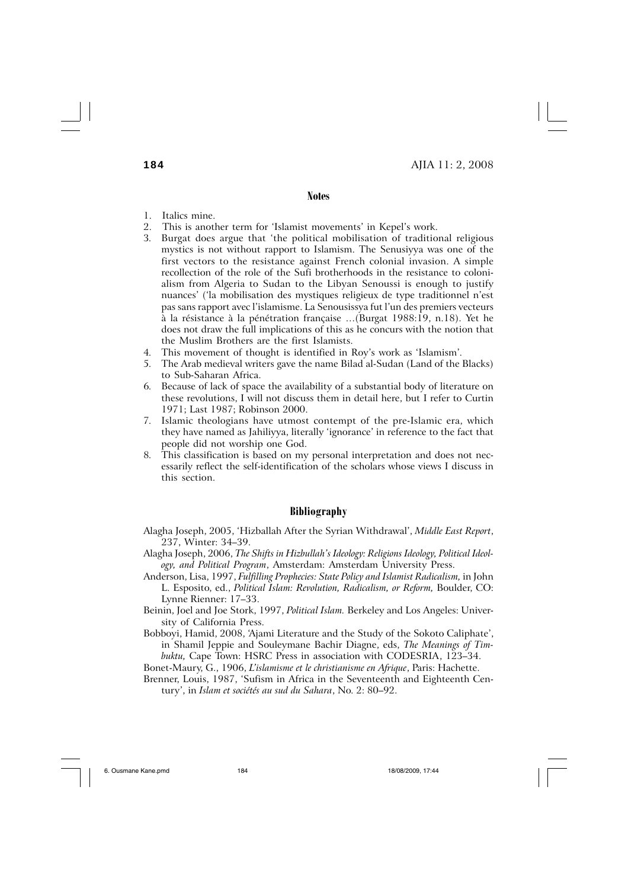## **184** AJIA 11: 2, 2008

#### **Notes**

- 1. Italics mine.
- 2. This is another term for 'Islamist movements' in Kepel's work.
- 3. Burgat does argue that 'the political mobilisation of traditional religious mystics is not without rapport to Islamism. The Senusiyya was one of the first vectors to the resistance against French colonial invasion. A simple recollection of the role of the Sufi brotherhoods in the resistance to colonialism from Algeria to Sudan to the Libyan Senoussi is enough to justify nuances' ('la mobilisation des mystiques religieux de type traditionnel n'est pas sans rapport avec l'islamisme. La Senousissya fut l'un des premiers vecteurs à la résistance à la pénétration française …(Burgat 1988:19, n.18). Yet he does not draw the full implications of this as he concurs with the notion that the Muslim Brothers are the first Islamists.
- 4. This movement of thought is identified in Roy's work as 'Islamism'.
- 5. The Arab medieval writers gave the name Bilad al-Sudan (Land of the Blacks) to Sub-Saharan Africa.
- 6. Because of lack of space the availability of a substantial body of literature on these revolutions, I will not discuss them in detail here, but I refer to Curtin 1971; Last 1987; Robinson 2000.
- 7. Islamic theologians have utmost contempt of the pre-Islamic era, which they have named as Jahiliyya, literally 'ignorance' in reference to the fact that people did not worship one God.
- 8. This classification is based on my personal interpretation and does not necessarily reflect the self-identification of the scholars whose views I discuss in this section.

#### **Bibliography**

- Alagha Joseph, 2005, 'Hizballah After the Syrian Withdrawal', *Middle East Report*, 237, Winter: 34–39.
- Alagha Joseph, 2006, *The Shifts in Hizbullah's Ideology: Religions Ideology, Political Ideology, and Political Program*, Amsterdam: Amsterdam University Press.
- Anderson, Lisa, 1997, *Fulfilling Prophecies: State Policy and Islamist Radicalism,* in John L. Esposito, ed., *Political Islam: Revolution, Radicalism, or Reform,* Boulder, CO: Lynne Rienner: 17–33.
- Beinin, Joel and Joe Stork, 1997, *Political Islam.* Berkeley and Los Angeles: University of California Press.
- Bobboyi, Hamid, 2008, 'Ajami Literature and the Study of the Sokoto Caliphate', in Shamil Jeppie and Souleymane Bachir Diagne, eds, *The Meanings of Timbuktu,* Cape Town: HSRC Press in association with CODESRIA, 123–34.
- Bonet-Maury, G., 1906, *L'islamisme et le christianisme en Afrique*, Paris: Hachette.
- Brenner, Louis, 1987, 'Sufism in Africa in the Seventeenth and Eighteenth Century', in *Islam et sociétés au sud du Sahara*, No. 2: 80–92.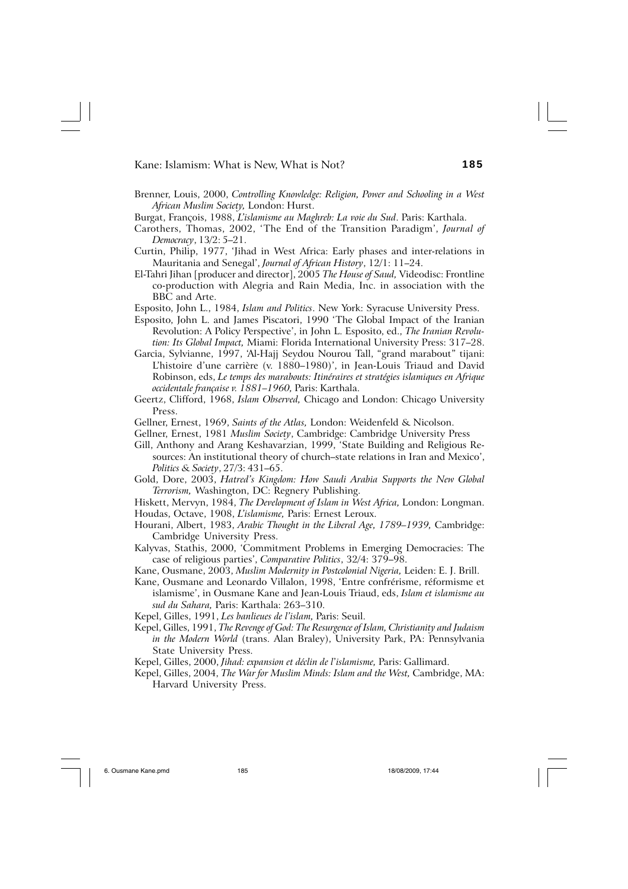Brenner, Louis, 2000, *Controlling Knowledge: Religion, Power and Schooling in a West African Muslim Society,* London: Hurst.

Burgat, François, 1988, *L'islamisme au Maghreb: La voie du Sud*. Paris: Karthala.

- Carothers, Thomas, 2002, 'The End of the Transition Paradigm', *Journal of Democracy*, 13/2: 5–21.
- Curtin, Philip, 1977, 'Jihad in West Africa: Early phases and inter-relations in Mauritania and Senegal', *Journal of African History*, 12/1: 11–24.
- El-Tahri Jihan [producer and director], 2005 *The House of Saud,* Videodisc: Frontline co-production with Alegria and Rain Media, Inc. in association with the BBC and Arte.

Esposito, John L., 1984, *Islam and Politics*. New York: Syracuse University Press.

- Esposito, John L. and James Piscatori, 1990 'The Global Impact of the Iranian Revolution: A Policy Perspective', in John L. Esposito, ed., *The Iranian Revolution: Its Global Impact,* Miami: Florida International University Press: 317–28.
- Garcia, Sylvianne, 1997, 'Al-Hajj Seydou Nourou Tall, "grand marabout" tijani: L'histoire d'une carrière (v. 1880–1980)', in Jean-Louis Triaud and David Robinson, eds, *Le temps des marabouts: Itinéraires et stratégies islamiques en Afrique occidentale française v. 1881–1960,* Paris: Karthala.
- Geertz, Clifford, 1968, *Islam Observed,* Chicago and London: Chicago University Press.
- Gellner, Ernest, 1969, *Saints of the Atlas,* London: Weidenfeld & Nicolson.
- Gellner, Ernest, 1981 *Muslim Society*, Cambridge: Cambridge University Press
- Gill, Anthony and Arang Keshavarzian, 1999, 'State Building and Religious Resources: An institutional theory of church–state relations in Iran and Mexico', *Politics & Society*, 27/3: 431–65.
- Gold, Dore, 2003, *Hatred's Kingdom: How Saudi Arabia Supports the New Global Terrorism,* Washington, DC: Regnery Publishing.
- Hiskett, Mervyn, 1984, *The Development of Islam in West Africa,* London: Longman. Houdas, Octave, 1908, *L'islamisme,* Paris: Ernest Leroux.
- Hourani, Albert, 1983, *Arabic Thought in the Liberal Age, 1789–1939,* Cambridge: Cambridge University Press.
- Kalyvas, Stathis, 2000, 'Commitment Problems in Emerging Democracies: The case of religious parties', *Comparative Politics*, 32/4: 379–98.

Kane, Ousmane, 2003, *Muslim Modernity in Postcolonial Nigeria,* Leiden: E. J. Brill.

Kane, Ousmane and Leonardo Villalon, 1998, 'Entre confrérisme, réformisme et islamisme', in Ousmane Kane and Jean-Louis Triaud, eds, *Islam et islamisme au sud du Sahara,* Paris: Karthala: 263–310.

Kepel, Gilles, 1991, *Les banlieues de l'islam,* Paris: Seuil.

Kepel, Gilles, 1991, *The Revenge of God: The Resurgence of Islam, Christianity and Judaism in the Modern World* (trans. Alan Braley), University Park, PA: Pennsylvania State University Press.

Kepel, Gilles, 2000, *Jihad: expansion et déclin de l*'*islamisme,* Paris: Gallimard.

Kepel, Gilles, 2004, *The War for Muslim Minds: Islam and the West,* Cambridge, MA: Harvard University Press.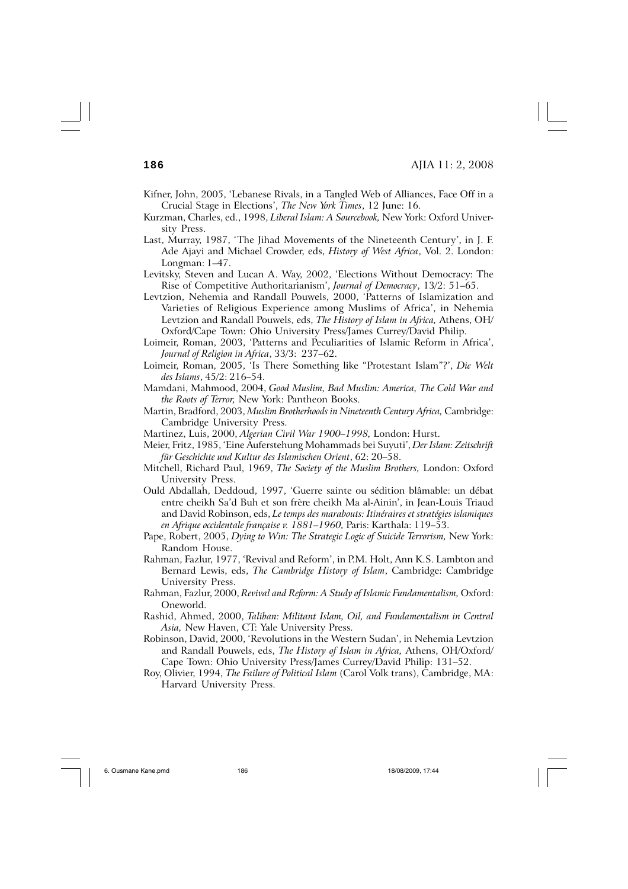- Kifner, John, 2005, 'Lebanese Rivals, in a Tangled Web of Alliances, Face Off in a Crucial Stage in Elections', *The New York Times*, 12 June: 16.
- Kurzman, Charles, ed., 1998, *Liberal Islam: A Sourcebook,* New York: Oxford University Press.
- Last, Murray, 1987, 'The Jihad Movements of the Nineteenth Century', in J. F. Ade Ajayi and Michael Crowder, eds, *History of West Africa*, Vol. 2. London: Longman: 1–47.
- Levitsky, Steven and Lucan A. Way, 2002, 'Elections Without Democracy: The Rise of Competitive Authoritarianism', *Journal of Democracy*, 13/2: 51–65.
- Levtzion, Nehemia and Randall Pouwels, 2000, 'Patterns of Islamization and Varieties of Religious Experience among Muslims of Africa', in Nehemia Levtzion and Randall Pouwels, eds, *The History of Islam in Africa,* Athens, OH/ Oxford/Cape Town: Ohio University Press/James Currey/David Philip.
- Loimeir, Roman, 2003, 'Patterns and Peculiarities of Islamic Reform in Africa', *Journal of Religion in Africa*, 33/3: 237–62.
- Loimeir, Roman, 2005, 'Is There Something like "Protestant Islam"?', *Die Welt des Islams*, 45/2: 216–54.
- Mamdani, Mahmood, 2004, *Good Muslim, Bad Muslim: America, The Cold War and the Roots of Terror,* New York: Pantheon Books.
- Martin, Bradford, 2003, *Muslim Brotherhoods in Nineteenth Century Africa,* Cambridge: Cambridge University Press.
- Martinez, Luis, 2000, *Algerian Civil War 1900–1998,* London: Hurst.
- Meier, Fritz, 1985, 'Eine Auferstehung Mohammads bei Suyuti', *Der Islam: Zeitschrift für Geschichte und Kultur des Islamischen Orient*, 62: 20–58.
- Mitchell, Richard Paul, 1969, *The Society of the Muslim Brothers,* London: Oxford University Press.
- Ould Abdallah, Deddoud, 1997, 'Guerre sainte ou sédition blâmable: un débat entre cheikh Sa'd Buh et son frère cheikh Ma al-Ainin', in Jean-Louis Triaud and David Robinson, eds, *Le temps des marabouts: Itinéraires et stratégies islamiques en Afrique occidentale française v. 1881–1960,* Paris: Karthala: 119–53.
- Pape, Robert, 2005, *Dying to Win: The Strategic Logic of Suicide Terrorism,* New York: Random House.
- Rahman, Fazlur, 1977, 'Revival and Reform', in P.M. Holt, Ann K.S. Lambton and Bernard Lewis, eds, *The Cambridge History of Islam*, Cambridge: Cambridge University Press.
- Rahman, Fazlur, 2000, *Revival and Reform: A Study of Islamic Fundamentalism,* Oxford: Oneworld.
- Rashid, Ahmed, 2000, *Taliban: Militant Islam, Oil, and Fundamentalism in Central Asia,* New Haven, CT: Yale University Press.
- Robinson, David, 2000, 'Revolutions in the Western Sudan', in Nehemia Levtzion and Randall Pouwels, eds, *The History of Islam in Africa,* Athens, OH/Oxford/ Cape Town: Ohio University Press/James Currey/David Philip: 131–52.
- Roy, Olivier, 1994, *The Failure of Political Islam* (Carol Volk trans), Cambridge, MA: Harvard University Press.